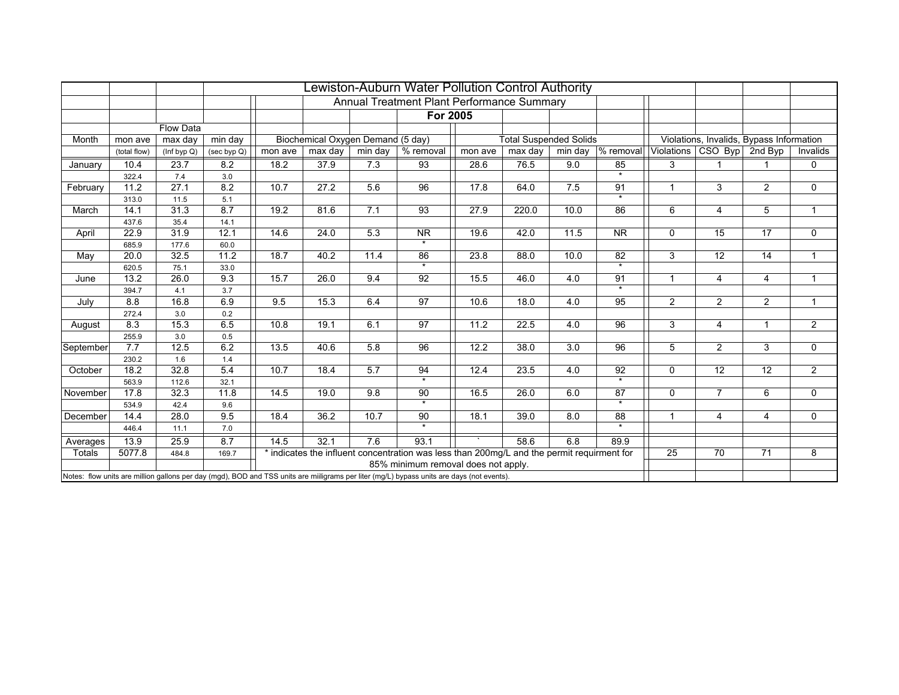|           |              |                  |             |         |                                   |         | Lewiston-Auburn Water Pollution Control Authority                                                                                          |         |                               |         |                                |                |                                          |                |                |
|-----------|--------------|------------------|-------------|---------|-----------------------------------|---------|--------------------------------------------------------------------------------------------------------------------------------------------|---------|-------------------------------|---------|--------------------------------|----------------|------------------------------------------|----------------|----------------|
|           |              |                  |             |         |                                   |         | Annual Treatment Plant Performance Summary                                                                                                 |         |                               |         |                                |                |                                          |                |                |
|           |              |                  |             |         |                                   |         | For 2005                                                                                                                                   |         |                               |         |                                |                |                                          |                |                |
|           |              | <b>Flow Data</b> |             |         |                                   |         |                                                                                                                                            |         |                               |         |                                |                |                                          |                |                |
| Month     | mon ave      | max day          | min day     |         | Biochemical Oxygen Demand (5 day) |         |                                                                                                                                            |         | <b>Total Suspended Solids</b> |         |                                |                | Violations, Invalids, Bypass Information |                |                |
|           | (total flow) | (Inf byp Q)      | (sec byp Q) | mon ave | max day                           | min day | % removal                                                                                                                                  | mon ave | max day                       | min day | $\sqrt{8}$ removal             |                | Violations   CSO Byp                     | 2nd Byp        | Invalids       |
| January   | 10.4         | 23.7             | 8.2         | 18.2    | 37.9                              | 7.3     | 93                                                                                                                                         | 28.6    | 76.5                          | 9.0     | 85                             | 3              | 1                                        |                | $\mathbf 0$    |
|           | 322.4        | 7.4              | 3.0         |         |                                   |         |                                                                                                                                            |         |                               |         | $\star$                        |                |                                          |                |                |
| February  | 11.2         | 27.1             | 8.2         | 10.7    | 27.2                              | 5.6     | 96                                                                                                                                         | 17.8    | 64.0                          | 7.5     | 91                             | 1              | 3                                        | $\overline{2}$ | $\mathbf 0$    |
|           | 313.0        | 11.5             | 5.1         |         |                                   |         |                                                                                                                                            |         |                               |         | $\overline{\mathbf{r}}$        |                |                                          |                |                |
| March     | 14.1         | 31.3             | 8.7         | 19.2    | 81.6                              | 7.1     | 93                                                                                                                                         | 27.9    | 220.0                         | 10.0    | 86                             | 6              | 4                                        | 5              | $\overline{1}$ |
|           | 437.6        | 35.4             | 14.1        |         |                                   |         |                                                                                                                                            |         |                               |         |                                |                |                                          |                |                |
| April     | 22.9         | 31.9             | 12.1        | 14.6    | 24.0                              | 5.3     | <b>NR</b>                                                                                                                                  | 19.6    | 42.0                          | 11.5    | <b>NR</b>                      | $\mathbf 0$    | 15                                       | 17             | $\mathbf 0$    |
|           | 685.9        | 177.6            | 60.0        |         |                                   |         | $\star$                                                                                                                                    |         |                               |         |                                |                |                                          |                |                |
| May       | 20.0         | 32.5             | 11.2        | 18.7    | 40.2                              | 11.4    | 86                                                                                                                                         | 23.8    | 88.0                          | 10.0    | 82<br>$\overline{\phantom{a}}$ | 3              | 12                                       | 14             | $\mathbf{1}$   |
|           | 620.5        | 75.1             | 33.0        |         |                                   |         | $\star$                                                                                                                                    |         |                               |         |                                |                |                                          |                |                |
| June      | 13.2         | 26.0             | 9.3         | 15.7    | 26.0                              | 9.4     | 92                                                                                                                                         | 15.5    | 46.0                          | 4.0     | 91<br>$\star$                  | $\overline{1}$ | $\overline{4}$                           | $\overline{4}$ | $\mathbf{1}$   |
|           | 394.7        | 4.1              | 3.7         |         |                                   |         |                                                                                                                                            |         |                               |         |                                |                |                                          |                |                |
| July      | 8.8          | 16.8             | 6.9         | 9.5     | 15.3                              | 6.4     | 97                                                                                                                                         | 10.6    | 18.0                          | 4.0     | 95                             | 2              | $\overline{a}$                           | $\overline{2}$ | $\overline{1}$ |
|           | 272.4        | 3.0              | 0.2         |         |                                   |         |                                                                                                                                            |         |                               |         |                                |                |                                          |                |                |
| August    | 8.3          | 15.3             | 6.5         | 10.8    | 19.1                              | 6.1     | 97                                                                                                                                         | 11.2    | 22.5                          | 4.0     | 96                             | 3              | 4                                        | 1              | 2              |
|           | 255.9        | 3.0              | 0.5         |         |                                   |         |                                                                                                                                            |         |                               |         |                                |                |                                          |                |                |
| September | 7.7          | 12.5             | 6.2         | 13.5    | 40.6                              | 5.8     | 96                                                                                                                                         | 12.2    | 38.0                          | 3.0     | 96                             | 5              | $\overline{2}$                           | 3              | $\mathbf 0$    |
|           | 230.2        | 1.6              | 1.4         |         |                                   |         |                                                                                                                                            |         |                               |         |                                |                |                                          |                |                |
| October   | 18.2         | 32.8             | 5.4         | 10.7    | 18.4                              | 5.7     | 94<br>$\overline{\ast}$                                                                                                                    | 12.4    | 23.5                          | 4.0     | 92<br>$\overline{\cdot}$       | $\Omega$       | 12                                       | 12             | $\overline{2}$ |
|           | 563.9        | 112.6            | 32.1        |         |                                   |         |                                                                                                                                            |         |                               |         |                                |                |                                          |                |                |
| November  | 17.8         | 32.3             | 11.8        | 14.5    | 19.0                              | 9.8     | 90<br>$\overline{\phantom{a}}$                                                                                                             | 16.5    | 26.0                          | 6.0     | 87<br>$\overline{\ast}$        | $\mathbf{0}$   | $\overline{7}$                           | 6              | $\mathbf 0$    |
|           | 534.9        | 42.4             | 9.6         |         |                                   |         |                                                                                                                                            |         |                               |         |                                | 1              |                                          |                |                |
| December  | 14.4         | 28.0             | 9.5         | 18.4    | 36.2                              | 10.7    | 90<br>$\star$                                                                                                                              | 18.1    | 39.0                          | 8.0     | 88<br>$\Delta \sigma$          |                | 4                                        | $\overline{4}$ | $\mathbf 0$    |
|           | 446.4        | 11.1             | 7.0         |         |                                   |         |                                                                                                                                            |         |                               |         |                                |                |                                          |                |                |
| Averages  | 13.9         | 25.9             | 8.7         | 14.5    | 32.1                              | 7.6     | 93.1                                                                                                                                       |         | 58.6                          | 6.8     | 89.9                           |                |                                          |                |                |
| Totals    | 5077.8       | 484.8            | 169.7       |         |                                   |         | * indicates the influent concentration was less than 200mg/L and the permit requirment for                                                 |         |                               |         |                                | 25             | 70                                       | 71             | 8              |
|           |              |                  |             |         |                                   |         | 85% minimum removal does not apply.                                                                                                        |         |                               |         |                                |                |                                          |                |                |
|           |              |                  |             |         |                                   |         | Notes: flow units are million gallons per day (mgd), BOD and TSS units are miiligrams per liter (mg/L) bypass units are days (not events). |         |                               |         |                                |                |                                          |                |                |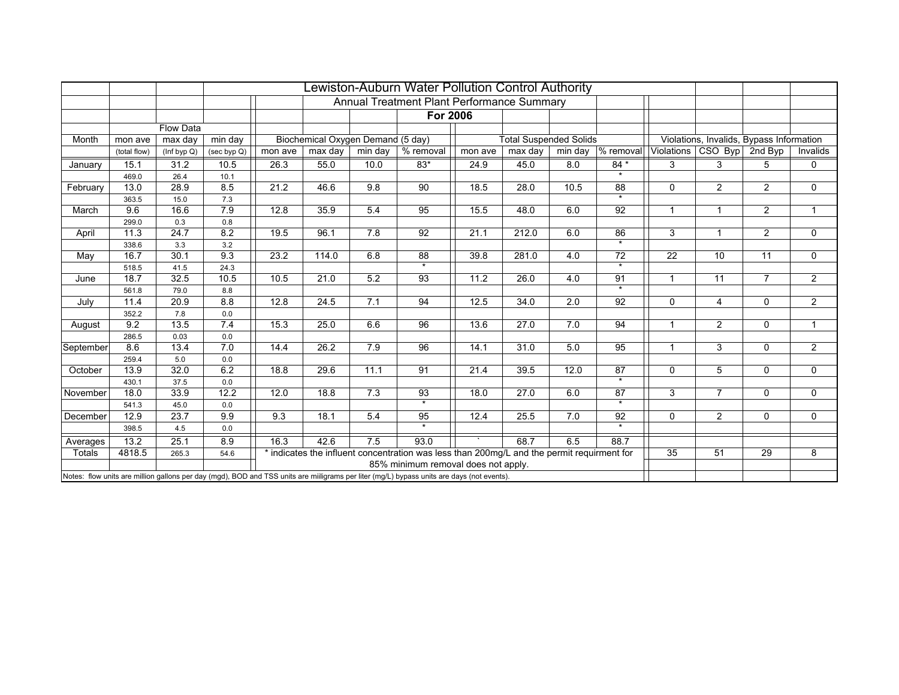|           |              |                  |             |         |                                   |         | Lewiston-Auburn Water Pollution Control Authority                                                                                          |                   |                               |      |                                      |                |                                          |                |                |
|-----------|--------------|------------------|-------------|---------|-----------------------------------|---------|--------------------------------------------------------------------------------------------------------------------------------------------|-------------------|-------------------------------|------|--------------------------------------|----------------|------------------------------------------|----------------|----------------|
|           |              |                  |             |         |                                   |         | Annual Treatment Plant Performance Summary                                                                                                 |                   |                               |      |                                      |                |                                          |                |                |
|           |              |                  |             |         |                                   |         | <b>For 2006</b>                                                                                                                            |                   |                               |      |                                      |                |                                          |                |                |
|           |              | <b>Flow Data</b> |             |         |                                   |         |                                                                                                                                            |                   |                               |      |                                      |                |                                          |                |                |
| Month     | mon ave      | max day          | min day     |         | Biochemical Oxygen Demand (5 day) |         |                                                                                                                                            |                   | <b>Total Suspended Solids</b> |      |                                      |                | Violations, Invalids, Bypass Information |                |                |
|           | (total flow) | (Inf byp Q)      | (sec byp Q) | mon ave | max day                           | min day | % removal                                                                                                                                  | mon ave           | max day                       |      | min day $\sqrt{\frac{9}{6}}$ removal |                | Violations CSO Byp                       | 2nd Byp        | Invalids       |
| January   | 15.1         | 31.2             | 10.5        | 26.3    | 55.0                              | 10.0    | $83*$                                                                                                                                      | 24.9              | 45.0                          | 8.0  | 84 *                                 | 3              | 3                                        | 5              | 0              |
|           | 469.0        | 26.4             | 10.1        |         |                                   |         |                                                                                                                                            |                   |                               |      | $\Phi$                               |                |                                          |                |                |
| February  | 13.0         | 28.9             | 8.5         | 21.2    | 46.6                              | 9.8     | 90                                                                                                                                         | 18.5              | 28.0                          | 10.5 | 88                                   | $\Omega$       | $\overline{2}$                           | $\overline{2}$ | $\mathbf 0$    |
|           | 363.5        | 15.0             | 7.3         |         |                                   |         |                                                                                                                                            |                   |                               |      | $\overline{\mathbf{r}}$              |                |                                          |                |                |
| March     | 9.6          | 16.6             | 7.9         | 12.8    | 35.9                              | 5.4     | 95                                                                                                                                         | $\overline{15.5}$ | 48.0                          | 6.0  | 92                                   |                | 1                                        | $\overline{a}$ |                |
|           | 299.0        | 0.3              | $0.8\,$     |         |                                   |         |                                                                                                                                            |                   |                               |      |                                      |                |                                          |                |                |
| April     | 11.3         | 24.7             | 8.2         | 19.5    | 96.1                              | 7.8     | 92                                                                                                                                         | 21.1              | 212.0                         | 6.0  | 86                                   | 3              | $\mathbf{1}$                             | $\overline{2}$ | 0              |
|           | 338.6        | 3.3              | 3.2         |         |                                   |         |                                                                                                                                            |                   |                               |      | $\overline{\cdot}$                   |                |                                          |                |                |
| May       | 16.7         | 30.1             | 9.3         | 23.2    | 114.0                             | 6.8     | 88                                                                                                                                         | 39.8              | 281.0                         | 4.0  | 72                                   | 22             | 10                                       | 11             | $\mathbf 0$    |
|           | 518.5        | 41.5             | 24.3        |         |                                   |         | $\star$                                                                                                                                    |                   |                               |      | $\star$                              |                |                                          |                |                |
| June      | 18.7         | 32.5             | 10.5        | 10.5    | 21.0                              | 5.2     | 93                                                                                                                                         | 11.2              | 26.0                          | 4.0  | 91                                   | $\overline{1}$ | 11                                       | $\overline{7}$ | 2              |
|           | 561.8        | 79.0             | 8.8         |         |                                   |         |                                                                                                                                            |                   |                               |      | $\overline{\mathbf{r}}$              |                |                                          |                |                |
| July      | 11.4         | 20.9             | 8.8         | 12.8    | 24.5                              | 7.1     | 94                                                                                                                                         | 12.5              | 34.0                          | 2.0  | 92                                   | $\Omega$       | 4                                        | $\Omega$       | $\overline{2}$ |
|           | 352.2        | 7.8              | 0.0         |         |                                   |         |                                                                                                                                            |                   |                               |      |                                      |                |                                          |                |                |
| August    | 9.2          | 13.5             | 7.4         | 15.3    | 25.0                              | 6.6     | 96                                                                                                                                         | 13.6              | 27.0                          | 7.0  | 94                                   | $\overline{1}$ | $\overline{2}$                           | $\mathbf 0$    | $\mathbf{1}$   |
|           | 286.5        | 0.03             | 0.0         |         |                                   |         |                                                                                                                                            |                   |                               |      |                                      |                |                                          |                |                |
| September | 8.6          | 13.4             | 7.0         | 14.4    | 26.2                              | 7.9     | 96                                                                                                                                         | 14.1              | 31.0                          | 5.0  | $\overline{95}$                      | $\overline{1}$ | 3                                        | $\Omega$       | $\overline{2}$ |
|           | 259.4        | 5.0              | 0.0         |         |                                   |         |                                                                                                                                            |                   |                               |      |                                      |                |                                          |                |                |
| October   | 13.9         | 32.0             | 6.2         | 18.8    | 29.6                              | 11.1    | 91                                                                                                                                         | 21.4              | 39.5                          | 12.0 | 87                                   | $\mathbf{0}$   | 5                                        | $\mathbf 0$    | $\mathbf 0$    |
|           | 430.1        | 37.5             | 0.0         |         |                                   |         |                                                                                                                                            |                   |                               |      | $\overline{\phantom{0}}$             |                |                                          |                |                |
| November  | 18.0         | 33.9             | 12.2        | 12.0    | 18.8                              | 7.3     | 93                                                                                                                                         | 18.0              | 27.0                          | 6.0  | 87                                   | 3              | $\overline{7}$                           | $\mathbf 0$    | $\mathbf 0$    |
|           | 541.3        | 45.0             | 0.0         |         |                                   |         | $\overline{\phantom{a}}$                                                                                                                   |                   |                               |      | $\overline{\ast}$                    |                |                                          |                |                |
| December  | 12.9         | 23.7             | 9.9         | 9.3     | 18.1                              | 5.4     | 95                                                                                                                                         | 12.4              | 25.5                          | 7.0  | 92                                   | $\Omega$       | $\overline{2}$                           | $\mathbf 0$    | $\mathbf 0$    |
|           | 398.5        | 4.5              | 0.0         |         |                                   |         | $\star$                                                                                                                                    |                   |                               |      | $\cdot$                              |                |                                          |                |                |
| Averages  | 13.2         | 25.1             | 8.9         | 16.3    | 42.6                              | 7.5     | 93.0                                                                                                                                       |                   | 68.7                          | 6.5  | 88.7                                 |                |                                          |                |                |
| Totals    | 4818.5       | 265.3            | 54.6        |         |                                   |         | * indicates the influent concentration was less than 200mg/L and the permit requirment for                                                 |                   |                               |      |                                      | 35             | 51                                       | 29             | 8              |
|           |              |                  |             |         |                                   |         | 85% minimum removal does not apply.                                                                                                        |                   |                               |      |                                      |                |                                          |                |                |
|           |              |                  |             |         |                                   |         | Notes: flow units are million gallons per day (mgd), BOD and TSS units are miiligrams per liter (mg/L) bypass units are days (not events). |                   |                               |      |                                      |                |                                          |                |                |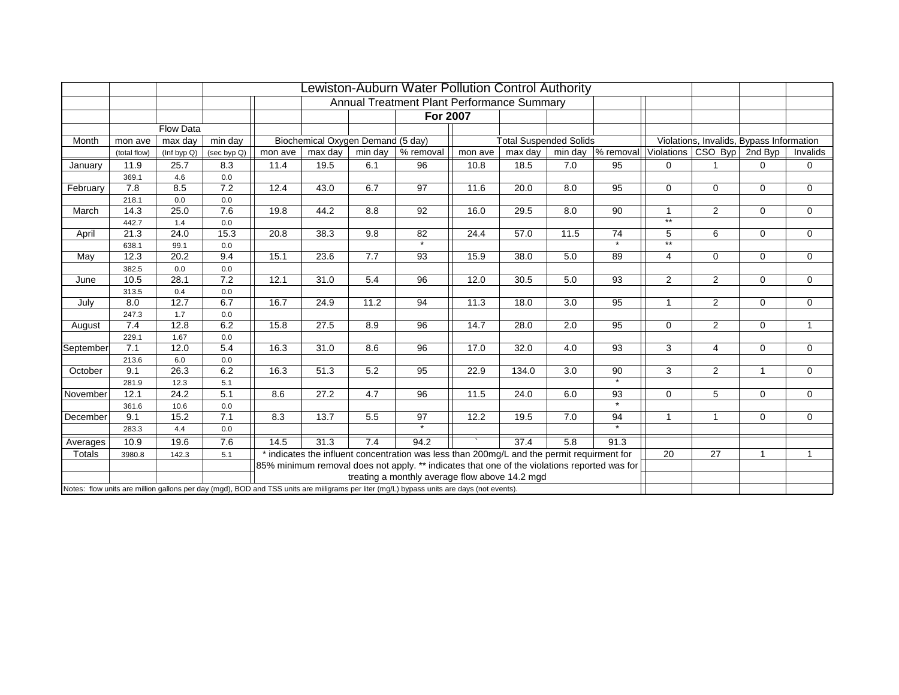|           |              |                  |             |         |                                   |         | ewiston-Auburn Water Pollution Control Authority                                                                                           |         |                               |      |                                |                |                            |                                          |              |
|-----------|--------------|------------------|-------------|---------|-----------------------------------|---------|--------------------------------------------------------------------------------------------------------------------------------------------|---------|-------------------------------|------|--------------------------------|----------------|----------------------------|------------------------------------------|--------------|
|           |              |                  |             |         |                                   |         | <b>Annual Treatment Plant Performance Summary</b>                                                                                          |         |                               |      |                                |                |                            |                                          |              |
|           |              |                  |             |         |                                   |         | <b>For 2007</b>                                                                                                                            |         |                               |      |                                |                |                            |                                          |              |
|           |              | <b>Flow Data</b> |             |         |                                   |         |                                                                                                                                            |         |                               |      |                                |                |                            |                                          |              |
| Month     | mon ave      | max day          | min day     |         | Biochemical Oxygen Demand (5 day) |         |                                                                                                                                            |         | <b>Total Suspended Solids</b> |      |                                |                |                            | Violations, Invalids, Bypass Information |              |
|           | (total flow) | (Inf byp Q)      | (sec byp Q) | mon ave | max day                           | min day | % removal                                                                                                                                  | mon ave | max day                       |      | min day $\sqrt{\ }$ removal    |                | Violations CSO Byp 2nd Byp |                                          | Invalids     |
| January   | 11.9         | 25.7             | 8.3         | 11.4    | 19.5                              | 6.1     | 96                                                                                                                                         | 10.8    | 18.5                          | 7.0  | 95                             | $\Omega$       |                            | 0                                        | 0            |
|           | 369.1        | 4.6              | 0.0         |         |                                   |         |                                                                                                                                            |         |                               |      |                                |                |                            |                                          |              |
| February  | 7.8          | 8.5              | 7.2         | 12.4    | 43.0                              | 6.7     | 97                                                                                                                                         | 11.6    | 20.0                          | 8.0  | 95                             | $\Omega$       | 0                          | $\Omega$                                 | 0            |
|           | 218.1        | 0.0              | 0.0         |         |                                   |         |                                                                                                                                            |         |                               |      |                                |                |                            |                                          |              |
| March     | 14.3         | 25.0             | 7.6         | 19.8    | 44.2                              | 8.8     | 92                                                                                                                                         | 16.0    | 29.5                          | 8.0  | 90                             | $\mathbf{1}$   | $\overline{2}$             | $\Omega$                                 | 0            |
|           | 442.7        | 1.4              | 0.0         |         |                                   |         |                                                                                                                                            |         |                               |      |                                | $**$           |                            |                                          |              |
| April     | 21.3         | 24.0             | 15.3        | 20.8    | 38.3                              | 9.8     | 82                                                                                                                                         | 24.4    | 57.0                          | 11.5 | 74                             | 5              | 6                          | $\mathbf 0$                              | 0            |
|           | 638.1        | 99.1             | 0.0         |         |                                   |         | $\overline{\ast}$                                                                                                                          |         |                               |      | $\overline{\cdot}$             | $**$           |                            |                                          |              |
| May       | 12.3         | 20.2             | 9.4         | 15.1    | 23.6                              | 7.7     | 93                                                                                                                                         | 15.9    | 38.0                          | 5.0  | 89                             | $\overline{4}$ | $\mathbf 0$                | $\mathbf 0$                              | 0            |
|           | 382.5        | 0.0              | 0.0         |         |                                   |         |                                                                                                                                            |         |                               |      |                                |                |                            |                                          |              |
| June      | 10.5         | 28.1             | 7.2         | 12.1    | 31.0                              | 5.4     | 96                                                                                                                                         | 12.0    | 30.5                          | 5.0  | 93                             | 2              | $\overline{2}$             | $\mathbf 0$                              | 0            |
|           | 313.5        | 0.4              | 0.0         |         |                                   |         |                                                                                                                                            |         |                               |      |                                |                |                            |                                          |              |
| July      | 8.0          | 12.7             | 6.7         | 16.7    | 24.9                              | 11.2    | 94                                                                                                                                         | 11.3    | 18.0                          | 3.0  | 95                             | $\mathbf{1}$   | $\overline{2}$             | $\mathbf 0$                              | 0            |
|           | 247.3        | 1.7              | 0.0         |         |                                   |         |                                                                                                                                            |         |                               |      |                                |                |                            |                                          |              |
| August    | 7.4          | 12.8             | 6.2         | 15.8    | 27.5                              | 8.9     | 96                                                                                                                                         | 14.7    | 28.0                          | 2.0  | 95                             | $\mathbf 0$    | $\overline{2}$             | $\mathbf 0$                              | $\mathbf{1}$ |
|           | 229.1        | 1.67             | 0.0         |         |                                   |         |                                                                                                                                            |         |                               |      |                                |                |                            |                                          |              |
| September | 7.1          | 12.0             | 5.4         | 16.3    | 31.0                              | 8.6     | 96                                                                                                                                         | 17.0    | 32.0                          | 4.0  | 93                             | 3              | 4                          | $\mathbf 0$                              | 0            |
|           | 213.6        | 6.0              | 0.0         |         |                                   |         |                                                                                                                                            |         |                               |      |                                |                |                            |                                          |              |
| October   | 9.1          | 26.3             | 6.2         | 16.3    | 51.3                              | 5.2     | 95                                                                                                                                         | 22.9    | 134.0                         | 3.0  | 90                             | 3              | $\overline{2}$             | $\mathbf{1}$                             | 0            |
|           | 281.9        | 12.3             | 5.1         |         |                                   |         |                                                                                                                                            |         |                               |      | $\overline{\phantom{0}}$       |                |                            |                                          |              |
| November  | 12.1         | 24.2             | 5.1         | 8.6     | 27.2                              | 4.7     | 96                                                                                                                                         | 11.5    | 24.0                          | 6.0  | 93                             | $\Omega$       | 5                          | $\Omega$                                 | 0            |
|           | 361.6        | 10.6             | 0.0         |         |                                   |         |                                                                                                                                            |         |                               |      | $\overline{\ast}$              |                |                            |                                          |              |
| December  | 9.1          | 15.2             | 7.1         | 8.3     | 13.7                              | 5.5     | 97                                                                                                                                         | 12.2    | 19.5                          | 7.0  | 94<br>$\overline{\phantom{a}}$ | $\mathbf{1}$   | 1                          | $\Omega$                                 | 0            |
|           | 283.3        | 4.4              | 0.0         |         |                                   |         | $\overline{\phantom{0}}$                                                                                                                   |         |                               |      |                                |                |                            |                                          |              |
| Averages  | 10.9         | 19.6             | 7.6         | 14.5    | 31.3                              | 7.4     | 94.2                                                                                                                                       |         | 37.4                          | 5.8  | 91.3                           |                |                            |                                          |              |
| Totals    | 3980.8       | 142.3            | 5.1         |         |                                   |         | * indicates the influent concentration was less than 200mg/L and the permit requirment for                                                 |         |                               |      |                                | 20             | 27                         | $\overline{1}$                           | $\mathbf{1}$ |
|           |              |                  |             |         |                                   |         | 85% minimum removal does not apply. ** indicates that one of the violations reported was for                                               |         |                               |      |                                |                |                            |                                          |              |
|           |              |                  |             |         |                                   |         | treating a monthly average flow above 14.2 mgd                                                                                             |         |                               |      |                                |                |                            |                                          |              |
|           |              |                  |             |         |                                   |         | Notes: flow units are million gallons per day (mgd), BOD and TSS units are milligrams per liter (mg/L) bypass units are days (not events). |         |                               |      |                                |                |                            |                                          |              |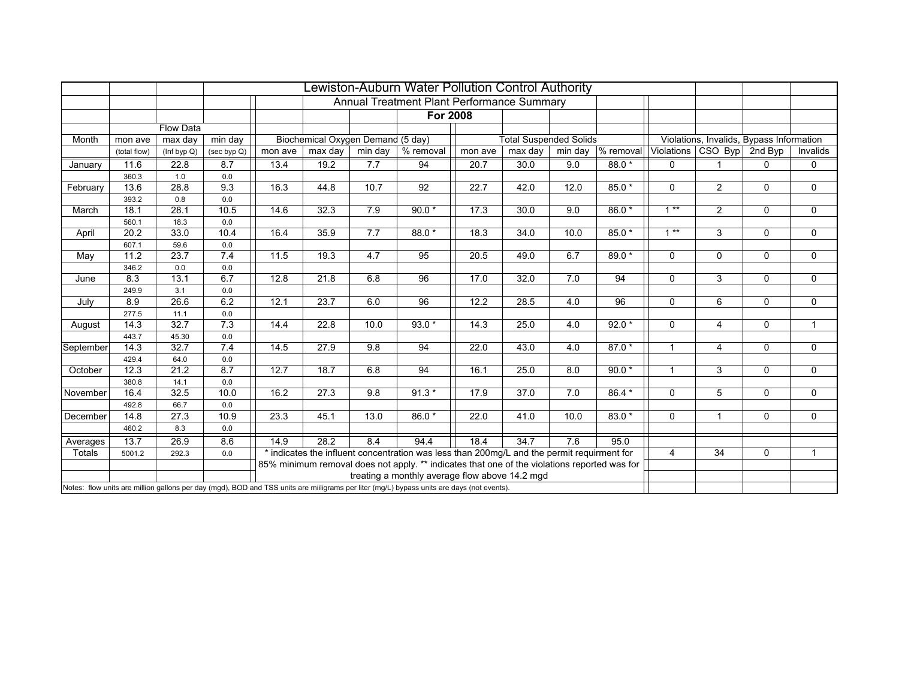|           |              |                  |             |         |                                   |                  | Lewiston-Auburn Water Pollution Control Authority                                                                                          |         |                               |         |             |                |                                          |              |              |
|-----------|--------------|------------------|-------------|---------|-----------------------------------|------------------|--------------------------------------------------------------------------------------------------------------------------------------------|---------|-------------------------------|---------|-------------|----------------|------------------------------------------|--------------|--------------|
|           |              |                  |             |         |                                   |                  | Annual Treatment Plant Performance Summary                                                                                                 |         |                               |         |             |                |                                          |              |              |
|           |              |                  |             |         |                                   |                  | <b>For 2008</b>                                                                                                                            |         |                               |         |             |                |                                          |              |              |
|           |              | <b>Flow Data</b> |             |         |                                   |                  |                                                                                                                                            |         |                               |         |             |                |                                          |              |              |
| Month     | mon ave      | max day          | min day     |         | Biochemical Oxygen Demand (5 day) |                  |                                                                                                                                            |         | <b>Total Suspended Solids</b> |         |             |                | Violations, Invalids, Bypass Information |              |              |
|           | (total flow) | (Inf byp Q)      | (sec byp Q) | mon ave | max day                           | min day          | % removal                                                                                                                                  | mon ave | max day                       | min day | $%$ removal |                | Violations   CSO Byp                     | 2nd Byp      | Invalids     |
| January   | 11.6         | 22.8             | 8.7         | 13.4    | 19.2                              | 7.7              | 94                                                                                                                                         | 20.7    | 30.0                          | 9.0     | 88.0 *      | $\Omega$       |                                          | 0            | 0            |
|           | 360.3        | 1.0              | 0.0         |         |                                   |                  |                                                                                                                                            |         |                               |         |             |                |                                          |              |              |
| February  | 13.6         | 28.8             | 9.3         | 16.3    | 44.8                              | 10.7             | 92                                                                                                                                         | 22.7    | 42.0                          | 12.0    | $85.0*$     | $\Omega$       | $\overline{2}$                           | $\Omega$     | $\mathbf 0$  |
|           | 393.2        | 0.8              | 0.0         |         |                                   |                  |                                                                                                                                            |         |                               |         |             |                |                                          |              |              |
| March     | 18.1         | 28.1             | 10.5        | 14.6    | 32.3                              | 7.9              | $90.0*$                                                                                                                                    | 17.3    | 30.0                          | 9.0     | $86.0*$     | $1**$          | $\overline{2}$                           | $\Omega$     | $\mathbf 0$  |
|           | 560.1        | 18.3             | 0.0         |         |                                   |                  |                                                                                                                                            |         |                               |         |             |                |                                          |              |              |
| April     | 20.2         | 33.0             | 10.4        | 16.4    | 35.9                              | 7.7              | $88.0*$                                                                                                                                    | 18.3    | 34.0                          | 10.0    | $85.0*$     | $1***$         | 3                                        | $\Omega$     | $\mathbf 0$  |
|           | 607.1        | 59.6             | 0.0         |         |                                   |                  |                                                                                                                                            |         |                               |         |             |                |                                          |              |              |
| May       | 11.2         | 23.7             | 7.4         | 11.5    | 19.3                              | 4.7              | 95                                                                                                                                         | 20.5    | 49.0                          | 6.7     | $89.0*$     | $\Omega$       | 0                                        | $\mathbf 0$  | $\mathbf 0$  |
|           | 346.2        | 0.0              | 0.0         |         |                                   |                  |                                                                                                                                            |         |                               |         |             |                |                                          |              |              |
| June      | 8.3          | 13.1             | 6.7         | 12.8    | 21.8                              | 6.8              | 96                                                                                                                                         | 17.0    | 32.0                          | 7.0     | 94          | $\mathbf 0$    | 3                                        | $\mathbf 0$  | 0            |
|           | 249.9        | 3.1              | 0.0         |         |                                   |                  |                                                                                                                                            |         |                               |         |             |                |                                          |              |              |
| July      | 8.9          | 26.6             | 6.2         | 12.1    | 23.7                              | 6.0              | 96                                                                                                                                         | 12.2    | 28.5                          | 4.0     | 96          | $\mathbf 0$    | 6                                        | $\mathbf 0$  | $\mathbf 0$  |
|           | 277.5        | 11.1             | $0.0\,$     |         |                                   |                  |                                                                                                                                            |         |                               |         |             |                |                                          |              |              |
| August    | 14.3         | 32.7             | 7.3         | 14.4    | 22.8                              | 10.0             | $93.0*$                                                                                                                                    | 14.3    | 25.0                          | 4.0     | $92.0*$     | $\mathbf 0$    | $\overline{4}$                           | $\mathbf 0$  | $\mathbf{1}$ |
|           | 443.7        | 45.30            | 0.0         |         |                                   |                  |                                                                                                                                            |         |                               |         |             |                |                                          |              |              |
| September | 14.3         | 32.7             | 7.4         | 14.5    | 27.9                              | 9.8              | 94                                                                                                                                         | 22.0    | 43.0                          | 4.0     | $87.0*$     | $\overline{1}$ | $\overline{4}$                           | $\Omega$     | $\mathbf 0$  |
|           | 429.4        | 64.0             | 0.0         |         |                                   |                  |                                                                                                                                            |         |                               |         |             |                |                                          |              |              |
| October   | 12.3         | 21.2             | 8.7         | 12.7    | 18.7                              | 6.8              | 94                                                                                                                                         | 16.1    | 25.0                          | 8.0     | $90.0*$     | $\overline{1}$ | 3                                        | $\mathbf{0}$ | $\mathbf 0$  |
|           | 380.8        | 14.1             | 0.0         |         |                                   |                  |                                                                                                                                            |         |                               |         |             |                |                                          |              |              |
| November  | 16.4         | 32.5             | 10.0        | 16.2    | 27.3                              | $\overline{9.8}$ | $91.3*$                                                                                                                                    | 17.9    | 37.0                          | 7.0     | $86.4*$     | $\mathbf{0}$   | $\overline{5}$                           | $\mathbf{0}$ | $\mathbf 0$  |
|           | 492.8        | 66.7             | 0.0         |         |                                   |                  |                                                                                                                                            |         |                               |         |             |                | $\mathbf{1}$                             |              |              |
| December  | 14.8         | 27.3             | 10.9        | 23.3    | 45.1                              | 13.0             | 86.0*                                                                                                                                      | 22.0    | 41.0                          | 10.0    | $83.0*$     | $\Omega$       |                                          | $\mathbf 0$  | $\mathbf 0$  |
|           | 460.2        | 8.3              | 0.0         |         |                                   |                  |                                                                                                                                            |         |                               |         |             |                |                                          |              |              |
| Averages  | 13.7         | 26.9             | 8.6         | 14.9    | 28.2                              | 8.4              | 94.4                                                                                                                                       | 18.4    | 34.7                          | 7.6     | 95.0        |                |                                          |              |              |
| Totals    | 5001.2       | 292.3            | 0.0         |         |                                   |                  | * indicates the influent concentration was less than 200mg/L and the permit requirment for                                                 |         |                               |         |             | $\overline{4}$ | 34                                       | $\mathbf 0$  | $\mathbf{1}$ |
|           |              |                  |             |         |                                   |                  | 85% minimum removal does not apply. ** indicates that one of the violations reported was for                                               |         |                               |         |             |                |                                          |              |              |
|           |              |                  |             |         |                                   |                  | treating a monthly average flow above 14.2 mgd                                                                                             |         |                               |         |             |                |                                          |              |              |
|           |              |                  |             |         |                                   |                  | Notes: flow units are million gallons per day (mgd), BOD and TSS units are milligrams per liter (mg/L) bypass units are days (not events). |         |                               |         |             |                |                                          |              |              |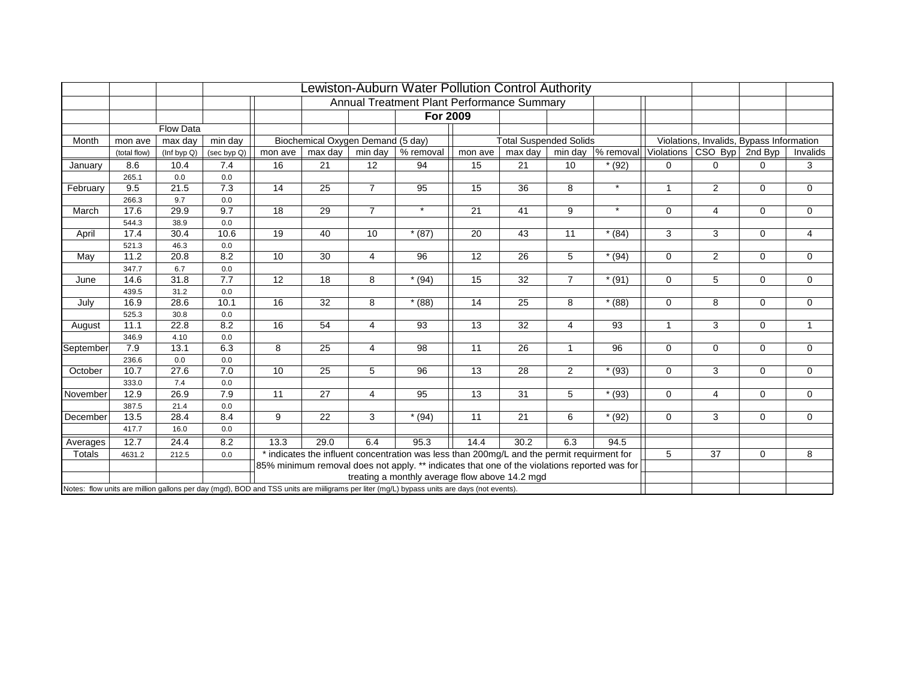|           |              |                  |                  |         |                                   |                | Lewiston-Auburn Water Pollution Control Authority                                                                                          |         |                               |                |           |                |                                          |                |                |
|-----------|--------------|------------------|------------------|---------|-----------------------------------|----------------|--------------------------------------------------------------------------------------------------------------------------------------------|---------|-------------------------------|----------------|-----------|----------------|------------------------------------------|----------------|----------------|
|           |              |                  |                  |         |                                   |                | Annual Treatment Plant Performance Summary                                                                                                 |         |                               |                |           |                |                                          |                |                |
|           |              |                  |                  |         |                                   |                | For 2009                                                                                                                                   |         |                               |                |           |                |                                          |                |                |
|           |              | <b>Flow Data</b> |                  |         |                                   |                |                                                                                                                                            |         |                               |                |           |                |                                          |                |                |
| Month     | mon ave      | max day          | min day          |         | Biochemical Oxygen Demand (5 day) |                |                                                                                                                                            |         | <b>Total Suspended Solids</b> |                |           |                | Violations, Invalids, Bypass Information |                |                |
|           | (total flow) | (Inf byp Q)      | (sec byp Q)      | mon ave | max day                           | min day        | % removal                                                                                                                                  | mon ave | max day                       | min day        | % removal |                | Violations   CSO Byp                     | 2nd Byp        | Invalids       |
| January   | 8.6          | 10.4             | 7.4              | 16      | 21                                | 12             | 94                                                                                                                                         | 15      | 21                            | 10             | $*(92)$   | $\Omega$       | 0                                        | $\Omega$       | 3              |
|           | 265.1        | 0.0              | 0.0              |         |                                   |                |                                                                                                                                            |         |                               |                |           |                |                                          |                |                |
| February  | 9.5          | 21.5             | 7.3              | 14      | 25                                | $\overline{7}$ | 95                                                                                                                                         | 15      | 36                            | 8              | $\star$   | 1              | 2                                        | $\mathbf 0$    | 0              |
|           | 266.3        | 9.7              | $0.0\,$          |         |                                   |                |                                                                                                                                            |         |                               |                |           |                |                                          |                |                |
| March     | 17.6         | 29.9             | 9.7              | 18      | 29                                | $\overline{7}$ | $\star$                                                                                                                                    | 21      | 41                            | 9              | $\star$   | $\Omega$       | 4                                        | $\mathbf 0$    | $\mathbf 0$    |
|           | 544.3        | 38.9             | 0.0              |         |                                   |                |                                                                                                                                            |         |                               |                |           |                |                                          |                |                |
| April     | 17.4         | 30.4             | 10.6             | 19      | 40                                | 10             | $*(87)$                                                                                                                                    | 20      | 43                            | 11             | $*(84)$   | 3              | 3                                        | $\mathbf 0$    | $\overline{4}$ |
|           | 521.3        | 46.3             | 0.0              |         |                                   |                |                                                                                                                                            |         |                               |                |           |                |                                          |                |                |
| May       | 11.2         | 20.8             | 8.2              | 10      | 30                                | $\overline{4}$ | 96                                                                                                                                         | 12      | 26                            | 5              | $*(94)$   | $\Omega$       | $\overline{2}$                           | $\mathbf 0$    | $\mathbf 0$    |
|           | 347.7        | 6.7              | 0.0              |         |                                   |                |                                                                                                                                            |         |                               |                |           |                |                                          |                |                |
| June      | 14.6         | 31.8             | $\overline{7.7}$ | 12      | 18                                | 8              | $*(94)$                                                                                                                                    | 15      | 32                            | $\overline{7}$ | $*(91)$   | $\mathbf 0$    | 5                                        | $\mathbf 0$    | $\mathbf 0$    |
|           | 439.5        | 31.2             | 0.0              |         |                                   |                |                                                                                                                                            |         |                               |                |           |                |                                          |                |                |
| July      | 16.9         | 28.6             | 10.1             | 16      | 32                                | 8              | $*(88)$                                                                                                                                    | 14      | 25                            | 8              | $*(88)$   | $\mathbf 0$    | 8                                        | $\mathbf 0$    | 0              |
|           | 525.3        | 30.8             | 0.0              |         |                                   |                |                                                                                                                                            |         |                               |                |           |                |                                          |                |                |
| August    | 11.1         | 22.8             | 8.2              | 16      | 54                                | 4              | 93                                                                                                                                         | 13      | 32                            | $\overline{4}$ | 93        | $\overline{1}$ | 3                                        | $\mathbf 0$    | $\mathbf{1}$   |
|           | 346.9        | 4.10             | 0.0              |         |                                   |                |                                                                                                                                            |         |                               |                |           |                |                                          |                |                |
| September | 7.9          | 13.1             | 6.3              | 8       | 25                                | 4              | 98                                                                                                                                         | 11      | 26                            | $\mathbf{1}$   | 96        | $\Omega$       | $\mathbf 0$                              | $\mathbf 0$    | $\mathbf 0$    |
|           | 236.6        | 0.0              | 0.0              |         |                                   |                |                                                                                                                                            |         |                               |                |           |                |                                          |                |                |
| October   | 10.7         | 27.6             | 7.0              | 10      | 25                                | 5              | 96                                                                                                                                         | 13      | 28                            | $\overline{2}$ | $*$ (93)  | 0              | 3                                        | $\overline{0}$ | $\mathbf 0$    |
|           | 333.0        | 7.4              | 0.0              |         |                                   |                |                                                                                                                                            |         |                               |                |           |                |                                          |                |                |
| November  | 12.9         | 26.9             | 7.9              | 11      | 27                                | $\overline{4}$ | 95                                                                                                                                         | 13      | $\overline{31}$               | 5              | $*$ (93)  | $\Omega$       | $\overline{4}$                           | $\mathbf{0}$   | $\Omega$       |
|           | 387.5        | 21.4             | 0.0              |         |                                   |                |                                                                                                                                            |         |                               |                |           |                |                                          |                |                |
| December  | 13.5         | 28.4             | 8.4              | 9       | 22                                | 3              | $*(94)$                                                                                                                                    | 11      | $\overline{21}$               | 6              | $*(92)$   | $\Omega$       | 3                                        | $\mathbf 0$    | $\mathbf 0$    |
|           | 417.7        | 16.0             | 0.0              |         |                                   |                |                                                                                                                                            |         |                               |                |           |                |                                          |                |                |
| Averages  | 12.7         | 24.4             | 8.2              | 13.3    | 29.0                              | 6.4            | 95.3                                                                                                                                       | 14.4    | 30.2                          | 6.3            | 94.5      |                |                                          |                |                |
| Totals    | 4631.2       | 212.5            | 0.0              |         |                                   |                | * indicates the influent concentration was less than 200mg/L and the permit requirment for                                                 |         |                               |                |           | 5              | 37                                       | $\mathbf 0$    | 8              |
|           |              |                  |                  |         |                                   |                | 85% minimum removal does not apply. ** indicates that one of the violations reported was for                                               |         |                               |                |           |                |                                          |                |                |
|           |              |                  |                  |         |                                   |                | treating a monthly average flow above 14.2 mgd                                                                                             |         |                               |                |           |                |                                          |                |                |
|           |              |                  |                  |         |                                   |                | Notes: flow units are million gallons per day (mgd), BOD and TSS units are milligrams per liter (mg/L) bypass units are days (not events). |         |                               |                |           |                |                                          |                |                |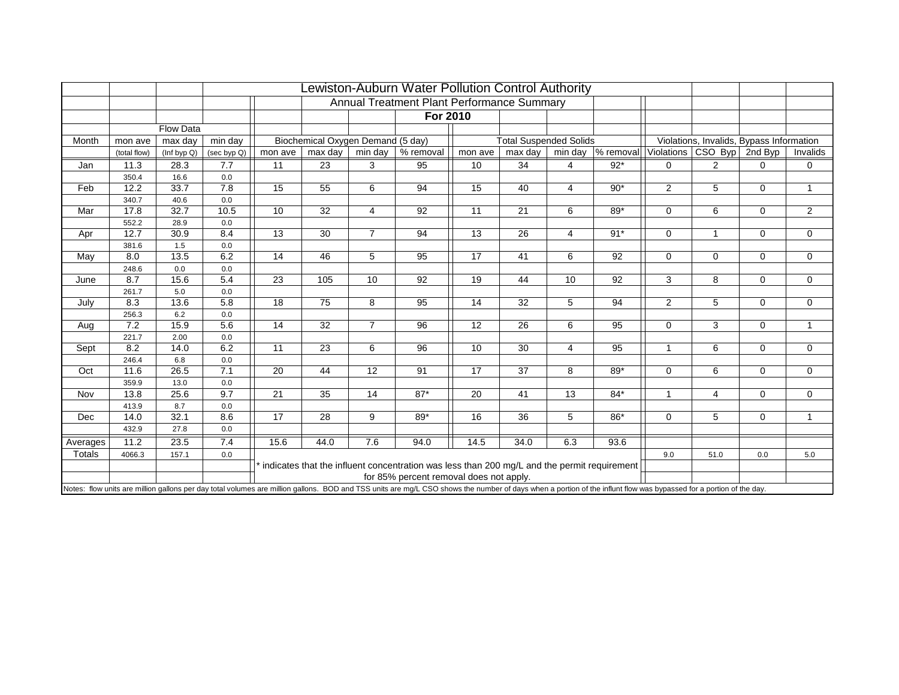|          |              |                  |             |         |                                   |                | Lewiston-Auburn Water Pollution Control Authority                                                                                                                                                                  |         |                               |                |             |                |                                          |             |              |
|----------|--------------|------------------|-------------|---------|-----------------------------------|----------------|--------------------------------------------------------------------------------------------------------------------------------------------------------------------------------------------------------------------|---------|-------------------------------|----------------|-------------|----------------|------------------------------------------|-------------|--------------|
|          |              |                  |             |         |                                   |                | Annual Treatment Plant Performance Summary                                                                                                                                                                         |         |                               |                |             |                |                                          |             |              |
|          |              |                  |             |         |                                   |                | For 2010                                                                                                                                                                                                           |         |                               |                |             |                |                                          |             |              |
|          |              | <b>Flow Data</b> |             |         |                                   |                |                                                                                                                                                                                                                    |         |                               |                |             |                |                                          |             |              |
| Month    | mon ave      | max day          | min day     |         | Biochemical Oxygen Demand (5 day) |                |                                                                                                                                                                                                                    |         | <b>Total Suspended Solids</b> |                |             |                | Violations, Invalids, Bypass Information |             |              |
|          | (total flow) | (Inf byp Q)      | (sec byp Q) | mon ave | max day                           | min day        | % removal                                                                                                                                                                                                          | mon ave | max day                       | min day        | $%$ removal |                | Violations CSO Byp                       | 2nd Byp     | Invalids     |
| Jan      | 11.3         | 28.3             | 7.7         | 11      | 23                                | 3              | 95                                                                                                                                                                                                                 | 10      | 34                            | 4              | $92*$       | $\Omega$       | 2                                        | 0           | 0            |
|          | 350.4        | 16.6             | 0.0         |         |                                   |                |                                                                                                                                                                                                                    |         |                               |                |             |                |                                          |             |              |
| Feb      | 12.2         | 33.7             | 7.8         | 15      | 55                                | 6              | 94                                                                                                                                                                                                                 | 15      | 40                            | 4              | $90*$       | $\overline{2}$ | 5                                        | 0           | $\mathbf{1}$ |
|          | 340.7        | 40.6             | 0.0         |         |                                   |                |                                                                                                                                                                                                                    |         |                               |                |             |                |                                          |             |              |
| Mar      | 17.8         | 32.7             | 10.5        | 10      | 32                                | 4              | 92                                                                                                                                                                                                                 | 11      | 21                            | 6              | 89*         | $\mathbf 0$    | 6                                        | 0           | 2            |
|          | 552.2        | 28.9             | 0.0         |         |                                   |                |                                                                                                                                                                                                                    |         |                               |                |             |                |                                          |             |              |
| Apr      | 12.7         | 30.9             | 8.4         | 13      | 30                                | $\overline{7}$ | 94                                                                                                                                                                                                                 | 13      | 26                            | $\overline{4}$ | $91*$       | $\mathbf 0$    | $\mathbf{1}$                             | $\mathbf 0$ | $\mathbf 0$  |
|          | 381.6        | 1.5              | 0.0         |         |                                   |                |                                                                                                                                                                                                                    |         |                               |                |             |                |                                          |             |              |
| May      | 8.0          | 13.5             | 6.2         | 14      | 46                                | 5              | 95                                                                                                                                                                                                                 | 17      | 41                            | 6              | 92          | $\Omega$       | $\Omega$                                 | $\mathbf 0$ | $\mathbf 0$  |
|          | 248.6        | 0.0              | 0.0         |         |                                   |                |                                                                                                                                                                                                                    |         |                               |                |             |                |                                          |             |              |
| June     | 8.7          | 15.6             | 5.4         | 23      | 105                               | 10             | 92                                                                                                                                                                                                                 | 19      | 44                            | 10             | 92          | 3              | 8                                        | $\mathbf 0$ | $\mathbf 0$  |
|          | 261.7        | 5.0              | 0.0         |         |                                   |                |                                                                                                                                                                                                                    |         |                               |                |             |                |                                          |             |              |
| July     | 8.3          | 13.6             | 5.8         | 18      | 75                                | 8              | 95                                                                                                                                                                                                                 | 14      | 32                            | 5              | 94          | $\overline{2}$ | 5                                        | $\mathbf 0$ | $\mathbf 0$  |
|          | 256.3        | 6.2              | 0.0         |         |                                   |                |                                                                                                                                                                                                                    |         |                               |                |             |                |                                          |             |              |
| Aug      | 7.2          | 15.9             | 5.6         | 14      | 32                                | $\overline{7}$ | 96                                                                                                                                                                                                                 | 12      | 26                            | 6              | 95          | $\mathbf 0$    | 3                                        | $\mathbf 0$ | $\mathbf{1}$ |
|          | 221.7<br>8.2 | 2.00<br>14.0     | 0.0<br>6.2  | 11      | 23                                |                | 96                                                                                                                                                                                                                 | 10      | 30                            |                | 95          | $\mathbf 1$    |                                          |             |              |
| Sept     | 246.4        | 6.8              | 0.0         |         |                                   | 6              |                                                                                                                                                                                                                    |         |                               | 4              |             |                | 6                                        | $\mathbf 0$ | $\mathbf 0$  |
| Oct      | 11.6         | 26.5             | 7.1         | 20      | 44                                | 12             | 91                                                                                                                                                                                                                 | 17      | 37                            | 8              | 89*         | $\mathbf 0$    | 6                                        | $\mathbf 0$ | $\mathbf 0$  |
|          | 359.9        | 13.0             | 0.0         |         |                                   |                |                                                                                                                                                                                                                    |         |                               |                |             |                |                                          |             |              |
| Nov      | 13.8         | 25.6             | 9.7         | 21      | 35                                | 14             | $87*$                                                                                                                                                                                                              | 20      | 41                            | 13             | $84*$       | $\mathbf{1}$   | $\overline{4}$                           | $\mathbf 0$ | $\mathbf 0$  |
|          | 413.9        | 8.7              | 0.0         |         |                                   |                |                                                                                                                                                                                                                    |         |                               |                |             |                |                                          |             |              |
| Dec      | 14.0         | 32.1             | 8.6         | 17      | 28                                | 9              | 89*                                                                                                                                                                                                                | 16      | 36                            | 5              | 86*         | $\mathbf 0$    | 5                                        | $\mathbf 0$ | $\mathbf{1}$ |
|          | 432.9        | 27.8             | 0.0         |         |                                   |                |                                                                                                                                                                                                                    |         |                               |                |             |                |                                          |             |              |
| Averages | 11.2         | 23.5             | 7.4         | 15.6    | 44.0                              | 7.6            | 94.0                                                                                                                                                                                                               | 14.5    | 34.0                          | 6.3            | 93.6        |                |                                          |             |              |
| Totals   | 4066.3       | 157.1            | 0.0         |         |                                   |                |                                                                                                                                                                                                                    |         |                               |                |             | 9.0            | 51.0                                     | 0.0         | 5.0          |
|          |              |                  |             |         |                                   |                | * indicates that the influent concentration was less than 200 mg/L and the permit requirement                                                                                                                      |         |                               |                |             |                |                                          |             |              |
|          |              |                  |             |         |                                   |                | for 85% percent removal does not apply.                                                                                                                                                                            |         |                               |                |             |                |                                          |             |              |
|          |              |                  |             |         |                                   |                | Notes: flow units are million gallons per day total volumes are million gallons. BOD and TSS units are mg/L CSO shows the number of days when a portion of the influnt flow was bypassed for a portion of the day. |         |                               |                |             |                |                                          |             |              |
|          |              |                  |             |         |                                   |                |                                                                                                                                                                                                                    |         |                               |                |             |                |                                          |             |              |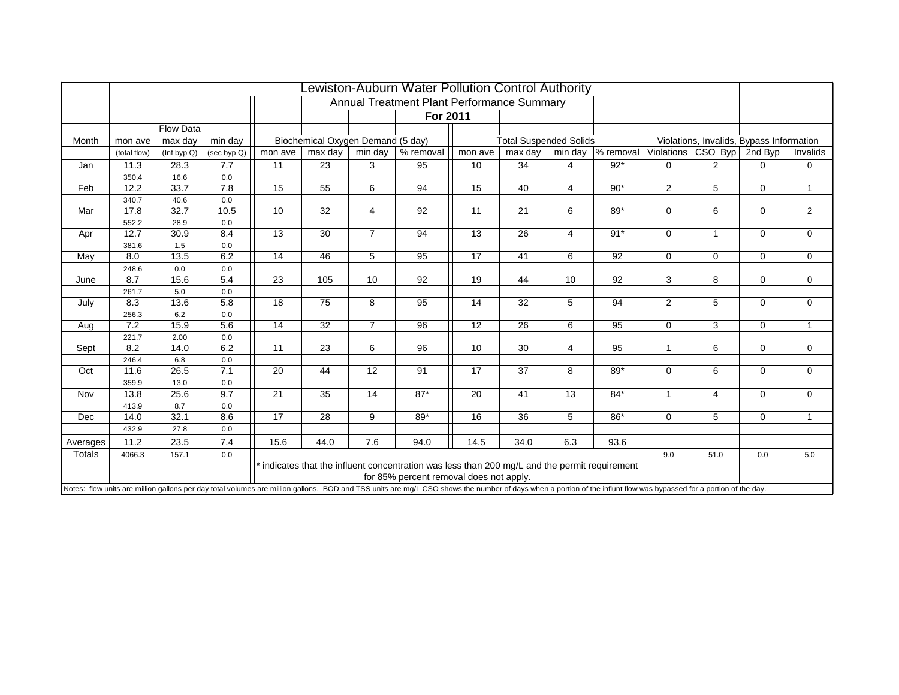|          |               |             |             |                 |                                   |                | Lewiston-Auburn Water Pollution Control Authority                                                                                                                                                                  |         |                               |                |             |                |                                          |              |              |
|----------|---------------|-------------|-------------|-----------------|-----------------------------------|----------------|--------------------------------------------------------------------------------------------------------------------------------------------------------------------------------------------------------------------|---------|-------------------------------|----------------|-------------|----------------|------------------------------------------|--------------|--------------|
|          |               |             |             |                 |                                   |                | Annual Treatment Plant Performance Summary                                                                                                                                                                         |         |                               |                |             |                |                                          |              |              |
|          |               |             |             |                 |                                   |                | For 2011                                                                                                                                                                                                           |         |                               |                |             |                |                                          |              |              |
|          |               | Flow Data   |             |                 |                                   |                |                                                                                                                                                                                                                    |         |                               |                |             |                |                                          |              |              |
| Month    | mon ave       | max day     | min day     |                 | Biochemical Oxygen Demand (5 day) |                |                                                                                                                                                                                                                    |         | <b>Total Suspended Solids</b> |                |             |                | Violations, Invalids, Bypass Information |              |              |
|          | (total flow)  | (Inf byp Q) | (sec byp Q) | mon ave         | max day                           | min day        | % removal                                                                                                                                                                                                          | mon ave | max day                       | min day        | $%$ removal |                | Violations CSO Byp                       | 2nd Byp      | Invalids     |
| Jan      | 11.3          | 28.3        | 7.7         | 11              | 23                                | 3              | 95                                                                                                                                                                                                                 | 10      | 34                            | 4              | $92*$       | $\Omega$       | $\overline{2}$                           | 0            | 0            |
|          | 350.4         | 16.6        | 0.0         |                 |                                   |                |                                                                                                                                                                                                                    |         |                               |                |             |                |                                          |              |              |
| Feb      | 12.2          | 33.7        | 7.8         | 15              | 55                                | 6              | 94                                                                                                                                                                                                                 | 15      | 40                            | $\overline{4}$ | $90*$       | $\overline{2}$ | 5                                        | $\mathbf 0$  | $\mathbf{1}$ |
|          | 340.7         | 40.6        | 0.0         |                 |                                   |                |                                                                                                                                                                                                                    |         |                               |                |             |                |                                          |              |              |
| Mar      | 17.8          | 32.7        | 10.5        | 10              | 32                                | $\overline{4}$ | 92                                                                                                                                                                                                                 | 11      | 21                            | 6              | 89*         | $\Omega$       | 6                                        | $\mathbf 0$  | 2            |
|          | 552.2         | 28.9        | $0.0\,$     |                 |                                   |                |                                                                                                                                                                                                                    |         |                               |                |             |                |                                          |              |              |
| Apr      | 12.7          | 30.9        | 8.4         | 13              | 30                                | $\overline{7}$ | 94                                                                                                                                                                                                                 | 13      | 26                            | $\overline{4}$ | $91*$       | $\mathbf 0$    | $\mathbf{1}$                             | $\mathbf 0$  | $\mathbf 0$  |
|          | 381.6         | 1.5         | 0.0         |                 |                                   |                |                                                                                                                                                                                                                    |         |                               |                |             |                |                                          |              |              |
| May      | 8.0           | 13.5        | 6.2         | 14              | 46                                | 5              | 95                                                                                                                                                                                                                 | 17      | 41                            | 6              | 92          | $\Omega$       | $\mathbf 0$                              | $\mathbf 0$  | 0            |
|          | 248.6         | 0.0         | 0.0         |                 |                                   |                |                                                                                                                                                                                                                    |         |                               |                |             |                |                                          |              |              |
| June     | 8.7           | 15.6        | 5.4         | $\overline{23}$ | 105                               | 10             | 92                                                                                                                                                                                                                 | 19      | 44                            | 10             | 92          | 3              | 8                                        | $\mathbf{0}$ | $\mathbf 0$  |
|          | 261.7         | 5.0         | 0.0         |                 |                                   |                |                                                                                                                                                                                                                    |         |                               |                |             |                |                                          |              |              |
| July     | 8.3           | 13.6        | 5.8         | 18              | 75                                | 8              | 95                                                                                                                                                                                                                 | 14      | 32                            | 5              | 94          | $\overline{2}$ | 5                                        | $\mathbf 0$  | $\mathbf 0$  |
|          | 256.3         | 6.2         | 0.0         |                 |                                   |                |                                                                                                                                                                                                                    |         |                               |                |             |                |                                          |              |              |
| Aug      | 7.2           | 15.9        | 5.6         | 14              | 32                                | $\overline{7}$ | 96                                                                                                                                                                                                                 | 12      | 26                            | 6              | 95          | 0              | 3                                        | $\mathbf 0$  | $\mathbf{1}$ |
|          | 221.7         | 2.00        | 0.0         |                 |                                   |                |                                                                                                                                                                                                                    |         |                               |                |             | $\mathbf{1}$   |                                          |              |              |
| Sept     | 8.2           | 14.0        | 6.2         | 11              | 23                                | 6              | 96                                                                                                                                                                                                                 | 10      | 30                            | $\overline{4}$ | 95          |                | 6                                        | $\mathbf 0$  | $\mathbf 0$  |
| Oct      | 246.4<br>11.6 | 6.8<br>26.5 | 0.0<br>7.1  | 20              | 44                                | 12             | 91                                                                                                                                                                                                                 | 17      | 37                            | 8              | 89*         | $\mathbf 0$    | 6                                        | $\mathbf 0$  | $\mathbf 0$  |
|          | 359.9         | 13.0        | 0.0         |                 |                                   |                |                                                                                                                                                                                                                    |         |                               |                |             |                |                                          |              |              |
| Nov      | 13.8          | 25.6        | 9.7         | 21              | 35                                | 14             | $87*$                                                                                                                                                                                                              | 20      | 41                            | 13             | $84*$       | $\mathbf{1}$   | $\overline{4}$                           | $\mathbf 0$  | $\mathbf 0$  |
|          | 413.9         | 8.7         | 0.0         |                 |                                   |                |                                                                                                                                                                                                                    |         |                               |                |             |                |                                          |              |              |
| Dec      | 14.0          | 32.1        | 8.6         | 17              | 28                                | 9              | 89*                                                                                                                                                                                                                | 16      | 36                            | 5              | $86*$       | $\mathbf 0$    | 5                                        | $\mathbf 0$  | $\mathbf{1}$ |
|          | 432.9         | 27.8        | 0.0         |                 |                                   |                |                                                                                                                                                                                                                    |         |                               |                |             |                |                                          |              |              |
| Averages | 11.2          | 23.5        | 7.4         | 15.6            | 44.0                              | 7.6            | 94.0                                                                                                                                                                                                               | 14.5    | 34.0                          | 6.3            | 93.6        |                |                                          |              |              |
| Totals   | 4066.3        | 157.1       | 0.0         |                 |                                   |                |                                                                                                                                                                                                                    |         |                               |                |             | 9.0            | 51.0                                     | 0.0          | 5.0          |
|          |               |             |             |                 |                                   |                | indicates that the influent concentration was less than 200 mg/L and the permit requirement                                                                                                                        |         |                               |                |             |                |                                          |              |              |
|          |               |             |             |                 |                                   |                | for 85% percent removal does not apply.                                                                                                                                                                            |         |                               |                |             |                |                                          |              |              |
|          |               |             |             |                 |                                   |                | Notes: flow units are million gallons per day total volumes are million gallons. BOD and TSS units are mg/L CSO shows the number of days when a portion of the influnt flow was bypassed for a portion of the day. |         |                               |                |             |                |                                          |              |              |
|          |               |             |             |                 |                                   |                |                                                                                                                                                                                                                    |         |                               |                |             |                |                                          |              |              |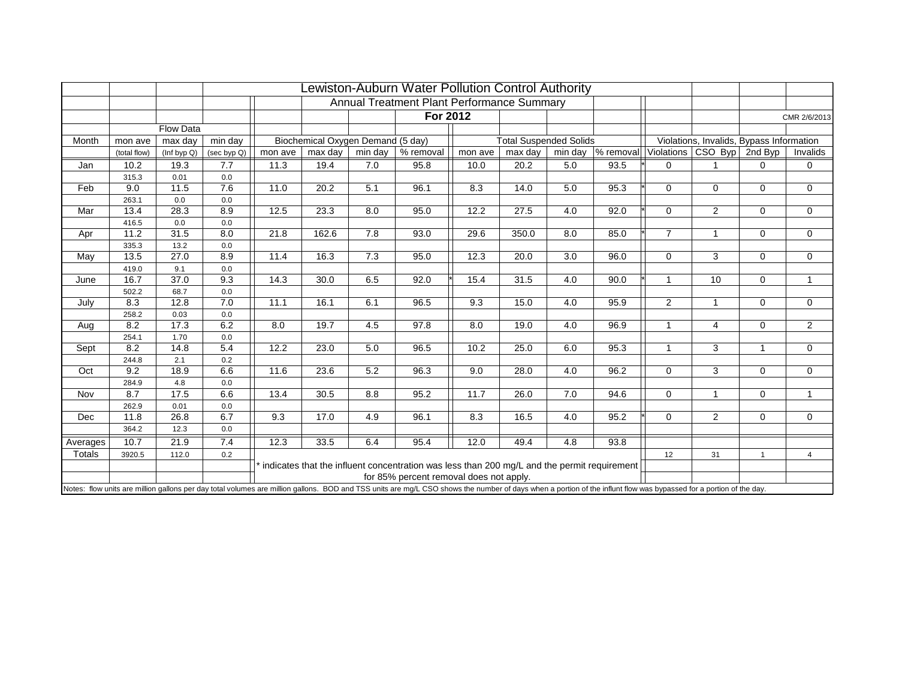|          |              |                  |             |         |                                   |         | Lewiston-Auburn Water Pollution Control Authority                                                                                                                                                                  |         |                               |         |             |                |                                          |              |                |
|----------|--------------|------------------|-------------|---------|-----------------------------------|---------|--------------------------------------------------------------------------------------------------------------------------------------------------------------------------------------------------------------------|---------|-------------------------------|---------|-------------|----------------|------------------------------------------|--------------|----------------|
|          |              |                  |             |         |                                   |         | Annual Treatment Plant Performance Summary                                                                                                                                                                         |         |                               |         |             |                |                                          |              |                |
|          |              |                  |             |         |                                   |         | For 2012                                                                                                                                                                                                           |         |                               |         |             |                |                                          |              | CMR 2/6/2013   |
|          |              | <b>Flow Data</b> |             |         |                                   |         |                                                                                                                                                                                                                    |         |                               |         |             |                |                                          |              |                |
| Month    | mon ave      | max day          | min day     |         | Biochemical Oxygen Demand (5 day) |         |                                                                                                                                                                                                                    |         | <b>Total Suspended Solids</b> |         |             |                | Violations, Invalids, Bypass Information |              |                |
|          | (total flow) | (Inf byp Q)      | (sec byp Q) | mon ave | max day                           | min day | % removal                                                                                                                                                                                                          | mon ave | max day                       | min day | $%$ removal |                | Violations CSO Byp                       | 2nd Byp      | Invalids       |
| Jan      | 10.2         | 19.3             | 7.7         | 11.3    | 19.4                              | 7.0     | 95.8                                                                                                                                                                                                               | 10.0    | 20.2                          | 5.0     | 93.5        | $\Omega$       |                                          | 0            | 0              |
|          | 315.3        | 0.01             | 0.0         |         |                                   |         |                                                                                                                                                                                                                    |         |                               |         |             |                |                                          |              |                |
| Feb      | 9.0          | 11.5             | 7.6         | 11.0    | 20.2                              | 5.1     | 96.1                                                                                                                                                                                                               | 8.3     | 14.0                          | 5.0     | 95.3        | $\Omega$       | $\mathbf 0$                              | 0            | $\mathbf 0$    |
|          | 263.1        | 0.0              | 0.0         |         |                                   |         |                                                                                                                                                                                                                    |         |                               |         |             |                |                                          |              |                |
| Mar      | 13.4         | 28.3             | 8.9         | 12.5    | 23.3                              | 8.0     | 95.0                                                                                                                                                                                                               | 12.2    | 27.5                          | 4.0     | 92.0        | $\Omega$       | 2                                        | $\mathbf 0$  | $\mathbf 0$    |
|          | 416.5        | 0.0              | 0.0         |         |                                   |         |                                                                                                                                                                                                                    |         |                               |         |             |                |                                          |              |                |
| Apr      | 11.2         | 31.5             | 8.0         | 21.8    | 162.6                             | 7.8     | 93.0                                                                                                                                                                                                               | 29.6    | 350.0                         | 8.0     | 85.0        | $\overline{7}$ | $\mathbf{1}$                             | $\mathbf 0$  | $\mathbf 0$    |
|          | 335.3        | 13.2             | 0.0         |         |                                   |         |                                                                                                                                                                                                                    |         |                               |         |             |                |                                          |              |                |
| May      | 13.5         | 27.0             | 8.9         | 11.4    | 16.3                              | 7.3     | 95.0                                                                                                                                                                                                               | 12.3    | 20.0                          | 3.0     | 96.0        | $\Omega$       | 3                                        | $\mathbf 0$  | $\mathbf 0$    |
|          | 419.0        | 9.1              | 0.0         |         |                                   |         |                                                                                                                                                                                                                    |         |                               |         |             |                |                                          |              |                |
| June     | 16.7         | 37.0             | 9.3         | 14.3    | 30.0                              | 6.5     | 92.0                                                                                                                                                                                                               | 15.4    | 31.5                          | 4.0     | 90.0        |                | 10                                       | 0            | $\mathbf{1}$   |
|          | 502.2        | 68.7             | 0.0         |         |                                   |         |                                                                                                                                                                                                                    |         |                               |         |             |                |                                          |              |                |
| July     | 8.3          | 12.8             | 7.0         | 11.1    | 16.1                              | 6.1     | 96.5                                                                                                                                                                                                               | 9.3     | 15.0                          | 4.0     | 95.9        | $\overline{2}$ | $\mathbf{1}$                             | $\mathbf 0$  | $\mathbf 0$    |
|          | 258.2        | 0.03             | 0.0         |         |                                   |         |                                                                                                                                                                                                                    |         |                               |         |             |                |                                          |              |                |
| Aug      | 8.2          | 17.3             | 6.2         | 8.0     | 19.7                              | 4.5     | 97.8                                                                                                                                                                                                               | 8.0     | 19.0                          | 4.0     | 96.9        | $\mathbf 1$    | $\overline{4}$                           | $\mathbf 0$  | $\overline{2}$ |
|          | 254.1        | 1.70             | 0.0         |         |                                   |         |                                                                                                                                                                                                                    |         |                               |         |             | 1              |                                          |              |                |
| Sept     | 8.2          | 14.8             | 5.4         | 12.2    | 23.0                              | 5.0     | 96.5                                                                                                                                                                                                               | 10.2    | 25.0                          | 6.0     | 95.3        |                | 3                                        | $\mathbf{1}$ | $\mathbf 0$    |
| Oct      | 244.8<br>9.2 | 2.1<br>18.9      | 0.2<br>6.6  | 11.6    | 23.6                              | 5.2     | 96.3                                                                                                                                                                                                               | 9.0     | 28.0                          | 4.0     | 96.2        | 0              | 3                                        | 0            | 0              |
|          | 284.9        | 4.8              | 0.0         |         |                                   |         |                                                                                                                                                                                                                    |         |                               |         |             |                |                                          |              |                |
| Nov      | 8.7          | 17.5             | 6.6         | 13.4    | 30.5                              | 8.8     | 95.2                                                                                                                                                                                                               | 11.7    | 26.0                          | 7.0     | 94.6        | $\mathbf 0$    | $\mathbf 1$                              | $\mathbf 0$  | $\mathbf{1}$   |
|          | 262.9        | 0.01             | 0.0         |         |                                   |         |                                                                                                                                                                                                                    |         |                               |         |             |                |                                          |              |                |
| Dec      | 11.8         | 26.8             | 6.7         | 9.3     | 17.0                              | 4.9     | 96.1                                                                                                                                                                                                               | 8.3     | 16.5                          | 4.0     | 95.2        | $\mathbf 0$    | 2                                        | $\mathbf 0$  | $\mathbf 0$    |
|          | 364.2        | 12.3             | 0.0         |         |                                   |         |                                                                                                                                                                                                                    |         |                               |         |             |                |                                          |              |                |
| Averages | 10.7         | 21.9             | 7.4         | 12.3    | 33.5                              | 6.4     | 95.4                                                                                                                                                                                                               | 12.0    | 49.4                          | 4.8     | 93.8        |                |                                          |              |                |
| Totals   | 3920.5       | 112.0            | 0.2         |         |                                   |         |                                                                                                                                                                                                                    |         |                               |         |             | 12             | 31                                       | $\mathbf{1}$ |                |
|          |              |                  |             |         |                                   |         | indicates that the influent concentration was less than 200 mg/L and the permit requirement                                                                                                                        |         |                               |         |             |                |                                          |              | 4              |
|          |              |                  |             |         |                                   |         | for 85% percent removal does not apply.                                                                                                                                                                            |         |                               |         |             |                |                                          |              |                |
|          |              |                  |             |         |                                   |         | Notes: flow units are million gallons per day total volumes are million gallons. BOD and TSS units are mg/L CSO shows the number of days when a portion of the influnt flow was bypassed for a portion of the day. |         |                               |         |             |                |                                          |              |                |
|          |              |                  |             |         |                                   |         |                                                                                                                                                                                                                    |         |                               |         |             |                |                                          |              |                |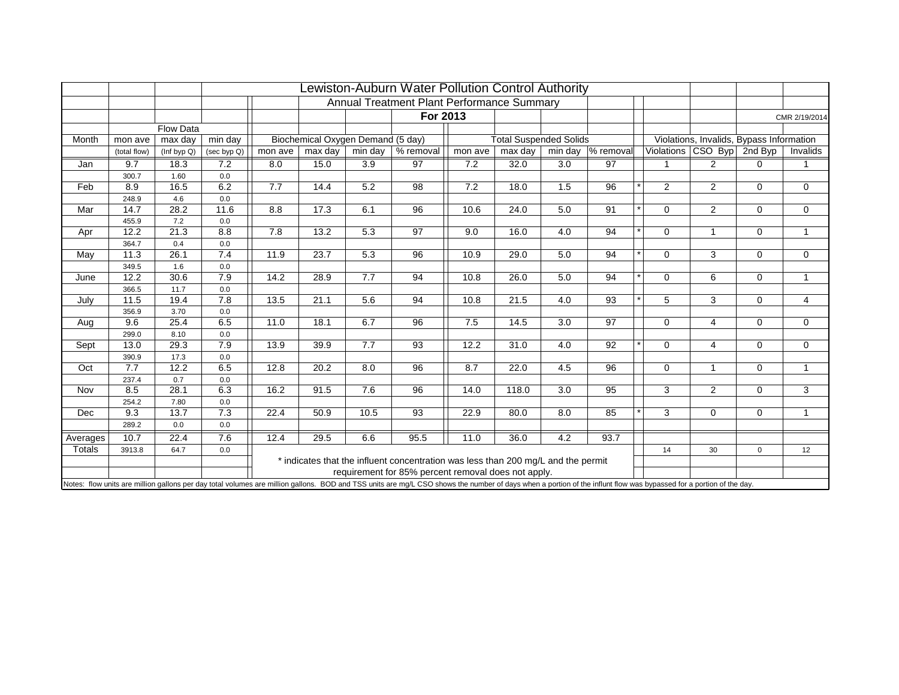|                    |              |                  |                  |         |                                   |         | Lewiston-Auburn Water Pollution Control Authority                                                                                                                                                                  |         |                               |         |           |                |                                          |                |                |
|--------------------|--------------|------------------|------------------|---------|-----------------------------------|---------|--------------------------------------------------------------------------------------------------------------------------------------------------------------------------------------------------------------------|---------|-------------------------------|---------|-----------|----------------|------------------------------------------|----------------|----------------|
|                    |              |                  |                  |         |                                   |         | Annual Treatment Plant Performance Summary                                                                                                                                                                         |         |                               |         |           |                |                                          |                |                |
|                    |              |                  |                  |         |                                   |         | For 2013                                                                                                                                                                                                           |         |                               |         |           |                |                                          |                | CMR 2/19/2014  |
|                    |              | <b>Flow Data</b> |                  |         |                                   |         |                                                                                                                                                                                                                    |         |                               |         |           |                |                                          |                |                |
| Month              | mon ave      | max day          | min day          |         | Biochemical Oxygen Demand (5 day) |         |                                                                                                                                                                                                                    |         | <b>Total Suspended Solids</b> |         |           |                | Violations, Invalids, Bypass Information |                |                |
|                    | (total flow) | (Inf byp Q)      | (sec byp Q)      | mon ave | max day                           | min day | % removal                                                                                                                                                                                                          | mon ave | max day                       | min day | % removal |                | Violations   CSO Byp                     | 2nd Byp        | Invalids       |
| Jan                | 9.7          | 18.3             | 7.2              | 8.0     | 15.0                              | 3.9     | 97                                                                                                                                                                                                                 | 7.2     | 32.0                          | 3.0     | 97        |                | 2                                        | 0              |                |
|                    | 300.7        | 1.60             | 0.0              |         |                                   |         |                                                                                                                                                                                                                    |         |                               |         |           |                |                                          |                |                |
| Feb                | 8.9          | 16.5             | 6.2              | 7.7     | 14.4                              | 5.2     | 98                                                                                                                                                                                                                 | 7.2     | 18.0                          | 1.5     | 96        | $\overline{2}$ | 2                                        | 0              | $\mathbf 0$    |
|                    | 248.9        | 4.6              | 0.0              |         |                                   |         |                                                                                                                                                                                                                    |         |                               |         |           |                |                                          |                |                |
| Mar                | 14.7         | 28.2             | 11.6             | 8.8     | 17.3                              | 6.1     | 96                                                                                                                                                                                                                 | 10.6    | 24.0                          | 5.0     | 91        | $\Omega$       | 2                                        | 0              | 0              |
|                    | 455.9        | 7.2              | 0.0              |         |                                   |         |                                                                                                                                                                                                                    |         |                               |         |           |                |                                          |                |                |
| Apr                | 12.2         | 21.3             | 8.8              | 7.8     | 13.2                              | 5.3     | 97                                                                                                                                                                                                                 | 9.0     | 16.0                          | 4.0     | 94        | $\Omega$       | $\mathbf{1}$                             | $\mathbf 0$    | $\mathbf{1}$   |
|                    | 364.7        | 0.4              | 0.0              |         |                                   |         |                                                                                                                                                                                                                    |         |                               |         |           |                |                                          |                |                |
| May                | 11.3         | 26.1             | 7.4              | 11.9    | 23.7                              | 5.3     | 96                                                                                                                                                                                                                 | 10.9    | 29.0                          | 5.0     | 94        | $\Omega$       | 3                                        | $\overline{0}$ | $\mathbf 0$    |
|                    | 349.5        | 1.6              | 0.0              |         |                                   |         |                                                                                                                                                                                                                    |         |                               |         |           |                |                                          |                |                |
| June               | 12.2         | 30.6             | $\overline{7.9}$ | 14.2    | 28.9                              | 7.7     | 94                                                                                                                                                                                                                 | 10.8    | 26.0                          | 5.0     | 94        | $\Omega$       | 6                                        | $\mathbf 0$    | $\mathbf{1}$   |
|                    | 366.5        | 11.7             | 0.0              |         |                                   |         |                                                                                                                                                                                                                    |         |                               |         |           |                |                                          |                |                |
| July               | 11.5         | 19.4             | 7.8              | 13.5    | 21.1                              | 5.6     | 94                                                                                                                                                                                                                 | 10.8    | 21.5                          | 4.0     | 93        | 5              | 3                                        | $\mathbf 0$    | $\overline{4}$ |
|                    | 356.9        | 3.70             | 0.0              |         |                                   |         |                                                                                                                                                                                                                    |         |                               |         |           |                |                                          |                |                |
| Aug                | 9.6          | 25.4             | 6.5              | 11.0    | 18.1                              | 6.7     | 96                                                                                                                                                                                                                 | 7.5     | 14.5                          | 3.0     | 97        | $\mathbf 0$    | $\overline{4}$                           | 0              | 0              |
|                    | 299.0        | 8.10             | 0.0              |         |                                   |         |                                                                                                                                                                                                                    |         |                               |         |           |                |                                          |                |                |
| Sept               | 13.0         | 29.3             | 7.9              | 13.9    | 39.9                              | 7.7     | 93                                                                                                                                                                                                                 | 12.2    | 31.0                          | 4.0     | 92        | $\mathbf 0$    | 4                                        | $\mathbf 0$    | 0              |
| Oct                | 390.9<br>7.7 | 17.3<br>12.2     | 0.0<br>6.5       | 12.8    | 20.2                              | 8.0     | 96                                                                                                                                                                                                                 | 8.7     | 22.0                          | 4.5     | 96        | $\Omega$       | $\mathbf{1}$                             | $\mathbf 0$    | $\mathbf{1}$   |
|                    | 237.4        | 0.7              | 0.0              |         |                                   |         |                                                                                                                                                                                                                    |         |                               |         |           |                |                                          |                |                |
| Nov                | 8.5          | 28.1             | 6.3              | 16.2    | 91.5                              | 7.6     | 96                                                                                                                                                                                                                 | 14.0    | 118.0                         | 3.0     | 95        | 3              | 2                                        | $\mathbf 0$    | 3              |
|                    | 254.2        | 7.80             | 0.0              |         |                                   |         |                                                                                                                                                                                                                    |         |                               |         |           |                |                                          |                |                |
| Dec                | 9.3          | 13.7             | 7.3              | 22.4    | 50.9                              | 10.5    | 93                                                                                                                                                                                                                 | 22.9    | 80.0                          | 8.0     | 85        | 3              | $\mathbf 0$                              | $\mathbf 0$    | $\mathbf{1}$   |
|                    | 289.2        | 0.0              | 0.0              |         |                                   |         |                                                                                                                                                                                                                    |         |                               |         |           |                |                                          |                |                |
|                    | 10.7         | 22.4             | 7.6              | 12.4    | 29.5                              | 6.6     | 95.5                                                                                                                                                                                                               | 11.0    | 36.0                          | 4.2     | 93.7      |                |                                          |                |                |
| Averages<br>Totals |              | 64.7             |                  |         |                                   |         |                                                                                                                                                                                                                    |         |                               |         |           |                | 30                                       |                |                |
|                    | 3913.8       |                  | 0.0              |         |                                   |         | * indicates that the influent concentration was less than 200 mg/L and the permit                                                                                                                                  |         |                               |         |           | 14             |                                          | $\mathbf 0$    | 12             |
|                    |              |                  |                  |         |                                   |         | requirement for 85% percent removal does not apply.                                                                                                                                                                |         |                               |         |           |                |                                          |                |                |
|                    |              |                  |                  |         |                                   |         | Notes: flow units are million gallons per day total volumes are million gallons. BOD and TSS units are mg/L CSO shows the number of days when a portion of the influnt flow was bypassed for a portion of the day. |         |                               |         |           |                |                                          |                |                |
|                    |              |                  |                  |         |                                   |         |                                                                                                                                                                                                                    |         |                               |         |           |                |                                          |                |                |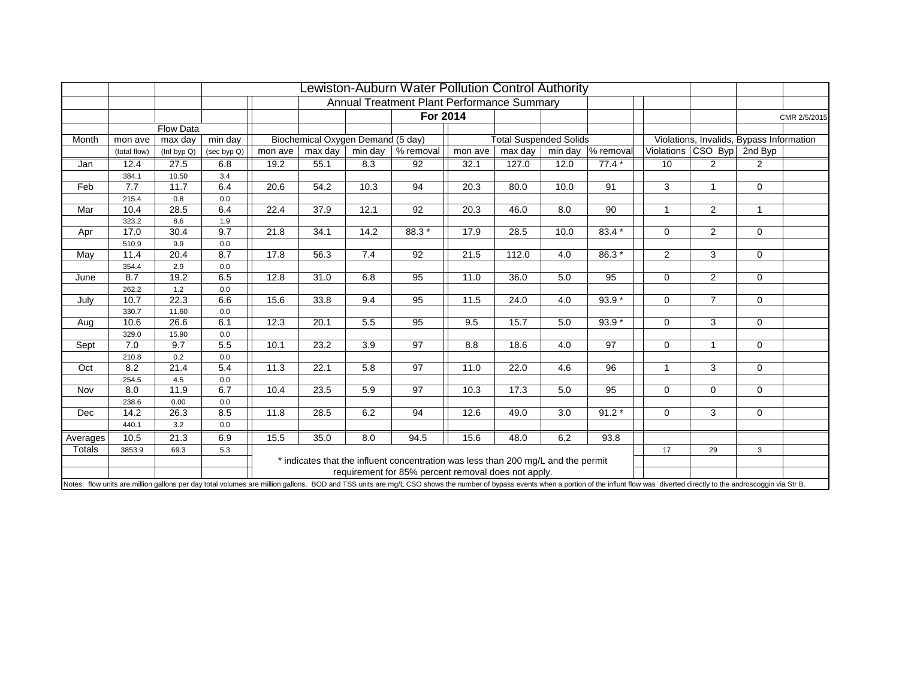|          |                  |              |             |         |                                   |         | Lewiston-Auburn Water Pollution Control Authority                                 |         |                               |                  |                     |                |                            |                                                                                                                                                                                                                                |
|----------|------------------|--------------|-------------|---------|-----------------------------------|---------|-----------------------------------------------------------------------------------|---------|-------------------------------|------------------|---------------------|----------------|----------------------------|--------------------------------------------------------------------------------------------------------------------------------------------------------------------------------------------------------------------------------|
|          |                  |              |             |         |                                   |         | Annual Treatment Plant Performance Summary                                        |         |                               |                  |                     |                |                            |                                                                                                                                                                                                                                |
|          |                  |              |             |         |                                   |         | For 2014                                                                          |         |                               |                  |                     |                |                            | CMR 2/5/2015                                                                                                                                                                                                                   |
|          |                  | Flow Data    |             |         |                                   |         |                                                                                   |         |                               |                  |                     |                |                            |                                                                                                                                                                                                                                |
| Month    | mon ave          | max day      | min day     |         | Biochemical Oxygen Demand (5 day) |         |                                                                                   |         | <b>Total Suspended Solids</b> |                  |                     |                |                            | Violations, Invalids, Bypass Information                                                                                                                                                                                       |
|          | (total flow)     | (Inf byp Q)  | (sec byp Q) | mon ave | max day                           | min day | % removal                                                                         | mon ave | max day                       | min day          | % removal           |                | Violations CSO Byp 2nd Byp |                                                                                                                                                                                                                                |
| Jan      | 12.4             | 27.5         | 6.8         | 19.2    | 55.1                              | 8.3     | 92                                                                                | 32.1    | 127.0                         | 12.0             | $77.4*$             | 10             | 2                          | 2                                                                                                                                                                                                                              |
|          | 384.1            | 10.50        | 3.4         |         |                                   |         |                                                                                   |         |                               |                  |                     |                |                            |                                                                                                                                                                                                                                |
| Feb      | 7.7              | 11.7         | 6.4         | 20.6    | 54.2                              | 10.3    | 94                                                                                | 20.3    | 80.0                          | 10.0             | 91                  | 3              | $\mathbf{1}$               | 0                                                                                                                                                                                                                              |
|          | 215.4            | 0.8          | 0.0         |         |                                   |         |                                                                                   |         |                               |                  |                     |                |                            |                                                                                                                                                                                                                                |
| Mar      | 10.4             | 28.5         | 6.4         | 22.4    | 37.9                              | 12.1    | 92                                                                                | 20.3    | 46.0                          | 8.0              | 90                  | 1              | $\overline{2}$             | $\mathbf{1}$                                                                                                                                                                                                                   |
|          | 323.2            | 8.6          | 1.9         |         |                                   |         |                                                                                   |         |                               |                  |                     |                |                            |                                                                                                                                                                                                                                |
| Apr      | 17.0             | 30.4         | 9.7         | 21.8    | 34.1                              | 14.2    | 88.3*                                                                             | 17.9    | 28.5                          | 10.0             | $83.4*$             | $\Omega$       | 2                          | $\mathbf 0$                                                                                                                                                                                                                    |
|          | 510.9            | 9.9          | 0.0         |         |                                   |         |                                                                                   |         |                               |                  |                     |                |                            |                                                                                                                                                                                                                                |
| May      | 11.4             | 20.4         | 8.7         | 17.8    | 56.3                              | 7.4     | 92                                                                                | 21.5    | 112.0                         | 4.0              | $86.3*$             | $\overline{2}$ | 3                          | $\mathbf 0$                                                                                                                                                                                                                    |
|          | 354.4            | 2.9          | 0.0         |         |                                   |         |                                                                                   |         |                               |                  |                     |                |                            |                                                                                                                                                                                                                                |
| June     | $\overline{8.7}$ | 19.2         | 6.5         | 12.8    | 31.0                              | 6.8     | 95                                                                                | 11.0    | 36.0                          | 5.0              | 95                  | $\Omega$       | $\overline{2}$             | $\mathbf 0$                                                                                                                                                                                                                    |
|          | 262.2            | 1.2          | 0.0         |         |                                   |         |                                                                                   |         |                               |                  |                     |                |                            |                                                                                                                                                                                                                                |
| July     | 10.7             | 22.3         | 6.6         | 15.6    | 33.8                              | 9.4     | 95                                                                                | 11.5    | 24.0                          | 4.0              | $\overline{93.9}$ * | $\Omega$       | $\overline{7}$             | $\mathbf 0$                                                                                                                                                                                                                    |
|          | 330.7            | 11.60        | 0.0         |         |                                   |         |                                                                                   |         |                               |                  |                     |                |                            |                                                                                                                                                                                                                                |
| Aug      | 10.6             | 26.6         | 6.1         | 12.3    | 20.1                              | 5.5     | 95                                                                                | 9.5     | 15.7                          | 5.0              | $93.9*$             | $\mathbf 0$    | 3                          | 0                                                                                                                                                                                                                              |
|          | 329.0            | 15.90        | 0.0         |         |                                   |         |                                                                                   |         |                               |                  |                     |                |                            |                                                                                                                                                                                                                                |
| Sept     | 7.0              | 9.7          | 5.5         | 10.1    | 23.2                              | 3.9     | 97                                                                                | 8.8     | 18.6                          | 4.0              | 97                  | $\mathbf 0$    | $\mathbf{1}$               | $\mathbf 0$                                                                                                                                                                                                                    |
|          | 210.8            | 0.2          | 0.0         |         |                                   |         |                                                                                   |         |                               |                  |                     |                |                            |                                                                                                                                                                                                                                |
| Oct      | 8.2              | 21.4         | 5.4         | 11.3    | 22.1                              | 5.8     | 97                                                                                | 11.0    | 22.0                          | 4.6              | 96                  |                | 3                          | $\mathbf 0$                                                                                                                                                                                                                    |
|          | 254.5<br>8.0     | 4.5<br>11.9  | 0.0<br>6.7  | 10.4    | 23.5                              |         | 97                                                                                |         | 17.3                          | 5.0              | 95                  | $\Omega$       | $\mathbf 0$                | $\mathbf 0$                                                                                                                                                                                                                    |
| Nov      |                  |              |             |         |                                   | 5.9     |                                                                                   | 10.3    |                               |                  |                     |                |                            |                                                                                                                                                                                                                                |
| Dec      | 238.6<br>14.2    | 0.00<br>26.3 | 0.0<br>8.5  | 11.8    | 28.5                              | 6.2     | 94                                                                                | 12.6    | 49.0                          | $\overline{3.0}$ | $91.2*$             | $\Omega$       | 3                          | $\mathbf 0$                                                                                                                                                                                                                    |
|          | 440.1            | 3.2          | 0.0         |         |                                   |         |                                                                                   |         |                               |                  |                     |                |                            |                                                                                                                                                                                                                                |
|          |                  |              |             |         |                                   |         |                                                                                   |         |                               |                  |                     |                |                            |                                                                                                                                                                                                                                |
| Averages | 10.5             | 21.3         | 6.9         | 15.5    | 35.0                              | 8.0     | 94.5                                                                              | 15.6    | 48.0                          | 6.2              | 93.8                |                |                            |                                                                                                                                                                                                                                |
| Totals   | 3853.9           | 69.3         | 5.3         |         |                                   |         |                                                                                   |         |                               |                  |                     | 17             | 29                         | 3                                                                                                                                                                                                                              |
|          |                  |              |             |         |                                   |         | * indicates that the influent concentration was less than 200 mg/L and the permit |         |                               |                  |                     |                |                            |                                                                                                                                                                                                                                |
|          |                  |              |             |         |                                   |         | requirement for 85% percent removal does not apply.                               |         |                               |                  |                     |                |                            |                                                                                                                                                                                                                                |
|          |                  |              |             |         |                                   |         |                                                                                   |         |                               |                  |                     |                |                            | Notes: flow units are million gallons per day total volumes are million gallons. BOD and TSS units are mg/L CSO shows the number of bypass events when a portion of the influnt flow was diverted directly to the androscoggin |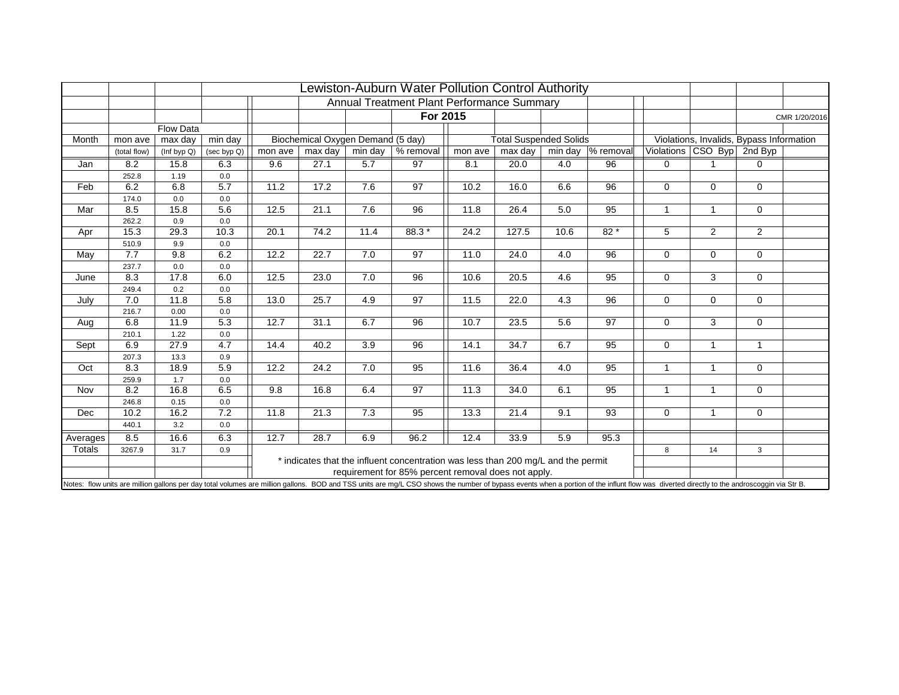|          |                  |              |             |         |                                   |                  | Lewiston-Auburn Water Pollution Control Authority                                 |         |                               |         |           |              |                            |                                                                                                                                                                                                                                |
|----------|------------------|--------------|-------------|---------|-----------------------------------|------------------|-----------------------------------------------------------------------------------|---------|-------------------------------|---------|-----------|--------------|----------------------------|--------------------------------------------------------------------------------------------------------------------------------------------------------------------------------------------------------------------------------|
|          |                  |              |             |         |                                   |                  | Annual Treatment Plant Performance Summary                                        |         |                               |         |           |              |                            |                                                                                                                                                                                                                                |
|          |                  |              |             |         |                                   |                  | For 2015                                                                          |         |                               |         |           |              |                            | CMR 1/20/2016                                                                                                                                                                                                                  |
|          |                  | Flow Data    |             |         |                                   |                  |                                                                                   |         |                               |         |           |              |                            |                                                                                                                                                                                                                                |
| Month    | mon ave          | max day      | min day     |         | Biochemical Oxygen Demand (5 day) |                  |                                                                                   |         | <b>Total Suspended Solids</b> |         |           |              |                            | Violations, Invalids, Bypass Information                                                                                                                                                                                       |
|          | (total flow)     | (Inf byp Q)  | (sec byp Q) | mon ave | max day                           | min day          | % removal                                                                         | mon ave | max day                       | min day | % removal |              | Violations CSO Byp 2nd Byp |                                                                                                                                                                                                                                |
| Jan      | 8.2              | 15.8         | 6.3         | 9.6     | 27.1                              | 5.7              | 97                                                                                | 8.1     | 20.0                          | 4.0     | 96        | $\Omega$     |                            | 0                                                                                                                                                                                                                              |
|          | 252.8            | 1.19         | 0.0         |         |                                   |                  |                                                                                   |         |                               |         |           |              |                            |                                                                                                                                                                                                                                |
| Feb      | 6.2              | 6.8          | 5.7         | 11.2    | 17.2                              | 7.6              | 97                                                                                | 10.2    | 16.0                          | 6.6     | 96        | $\Omega$     | $\mathbf 0$                | 0                                                                                                                                                                                                                              |
|          | 174.0            | 0.0          | 0.0         |         |                                   |                  |                                                                                   |         |                               |         |           |              |                            |                                                                                                                                                                                                                                |
| Mar      | 8.5              | 15.8         | 5.6         | 12.5    | 21.1                              | 7.6              | 96                                                                                | 11.8    | 26.4                          | 5.0     | 95        | $\mathbf{1}$ | 1                          | 0                                                                                                                                                                                                                              |
|          | 262.2            | 0.9          | 0.0         |         |                                   |                  |                                                                                   |         |                               |         |           |              |                            |                                                                                                                                                                                                                                |
| Apr      | 15.3             | 29.3         | 10.3        | 20.1    | 74.2                              | 11.4             | 88.3*                                                                             | 24.2    | 127.5                         | 10.6    | $82*$     | 5            | 2                          | $\overline{2}$                                                                                                                                                                                                                 |
|          | 510.9            | 9.9          | 0.0         |         |                                   |                  |                                                                                   |         |                               |         |           |              |                            |                                                                                                                                                                                                                                |
| May      | 7.7              | 9.8          | 6.2         | 12.2    | 22.7                              | 7.0              | 97                                                                                | 11.0    | 24.0                          | 4.0     | 96        | $\Omega$     | $\mathbf 0$                | $\mathbf 0$                                                                                                                                                                                                                    |
|          | 237.7            | 0.0          | 0.0         |         |                                   |                  |                                                                                   |         |                               |         |           |              |                            |                                                                                                                                                                                                                                |
| June     | $\overline{8.3}$ | 17.8         | 6.0         | 12.5    | 23.0                              | 7.0              | 96                                                                                | 10.6    | 20.5                          | 4.6     | 95        | $\Omega$     | 3                          | $\mathbf 0$                                                                                                                                                                                                                    |
|          | 249.4            | 0.2          | 0.0         |         |                                   |                  |                                                                                   |         |                               |         |           |              |                            |                                                                                                                                                                                                                                |
| July     | 7.0              | 11.8         | 5.8         | 13.0    | 25.7                              | 4.9              | 97                                                                                | 11.5    | 22.0                          | 4.3     | 96        | $\Omega$     | $\Omega$                   | $\mathbf 0$                                                                                                                                                                                                                    |
|          | 216.7            | 0.00         | 0.0         |         |                                   |                  |                                                                                   |         |                               |         |           |              |                            |                                                                                                                                                                                                                                |
| Aug      | 6.8              | 11.9         | 5.3         | 12.7    | 31.1                              | 6.7              | 96                                                                                | 10.7    | 23.5                          | 5.6     | 97        | $\Omega$     | 3                          | 0                                                                                                                                                                                                                              |
|          | 210.1            | 1.22         | 0.0         |         |                                   |                  |                                                                                   |         |                               |         |           |              |                            |                                                                                                                                                                                                                                |
| Sept     | 6.9              | 27.9         | 4.7         | 14.4    | 40.2                              | 3.9              | 96                                                                                | 14.1    | 34.7                          | 6.7     | 95        | $\mathbf 0$  | $\mathbf{1}$               | $\mathbf{1}$                                                                                                                                                                                                                   |
|          | 207.3            | 13.3         | 0.9         |         |                                   |                  |                                                                                   |         |                               |         |           |              |                            |                                                                                                                                                                                                                                |
| Oct      | 8.3              | 18.9         | 5.9         | 12.2    | 24.2                              | 7.0              | 95                                                                                | 11.6    | 36.4                          | 4.0     | 95        | $\mathbf 1$  | $\mathbf{1}$               | $\mathbf 0$                                                                                                                                                                                                                    |
|          | 259.9<br>8.2     | 1.7<br>16.8  | 0.0<br>6.5  | 9.8     | 16.8                              |                  | 97                                                                                |         |                               | 6.1     | 95        | $\mathbf{1}$ | $\mathbf{1}$               |                                                                                                                                                                                                                                |
| Nov      |                  |              |             |         |                                   | 6.4              |                                                                                   | 11.3    | 34.0                          |         |           |              |                            | $\mathbf 0$                                                                                                                                                                                                                    |
| Dec      | 246.8<br>10.2    | 0.15<br>16.2 | 0.0<br>7.2  | 11.8    | 21.3                              | $\overline{7.3}$ | 95                                                                                | 13.3    | 21.4                          | 9.1     | 93        | $\mathbf 0$  | $\mathbf{1}$               | $\mathbf 0$                                                                                                                                                                                                                    |
|          | 440.1            | 3.2          | 0.0         |         |                                   |                  |                                                                                   |         |                               |         |           |              |                            |                                                                                                                                                                                                                                |
|          |                  |              |             |         |                                   |                  |                                                                                   |         |                               |         |           |              |                            |                                                                                                                                                                                                                                |
| Averages | 8.5              | 16.6         | 6.3         | 12.7    | 28.7                              | 6.9              | 96.2                                                                              | 12.4    | 33.9                          | 5.9     | 95.3      |              |                            |                                                                                                                                                                                                                                |
| Totals   | 3267.9           | 31.7         | 0.9         |         |                                   |                  |                                                                                   |         |                               |         |           | 8            | 14                         | 3                                                                                                                                                                                                                              |
|          |                  |              |             |         |                                   |                  | * indicates that the influent concentration was less than 200 mg/L and the permit |         |                               |         |           |              |                            |                                                                                                                                                                                                                                |
|          |                  |              |             |         |                                   |                  | requirement for 85% percent removal does not apply.                               |         |                               |         |           |              |                            |                                                                                                                                                                                                                                |
|          |                  |              |             |         |                                   |                  |                                                                                   |         |                               |         |           |              |                            | Notes: flow units are million gallons per day total volumes are million gallons. BOD and TSS units are mg/L CSO shows the number of bypass events when a portion of the influnt flow was diverted directly to the androscoggin |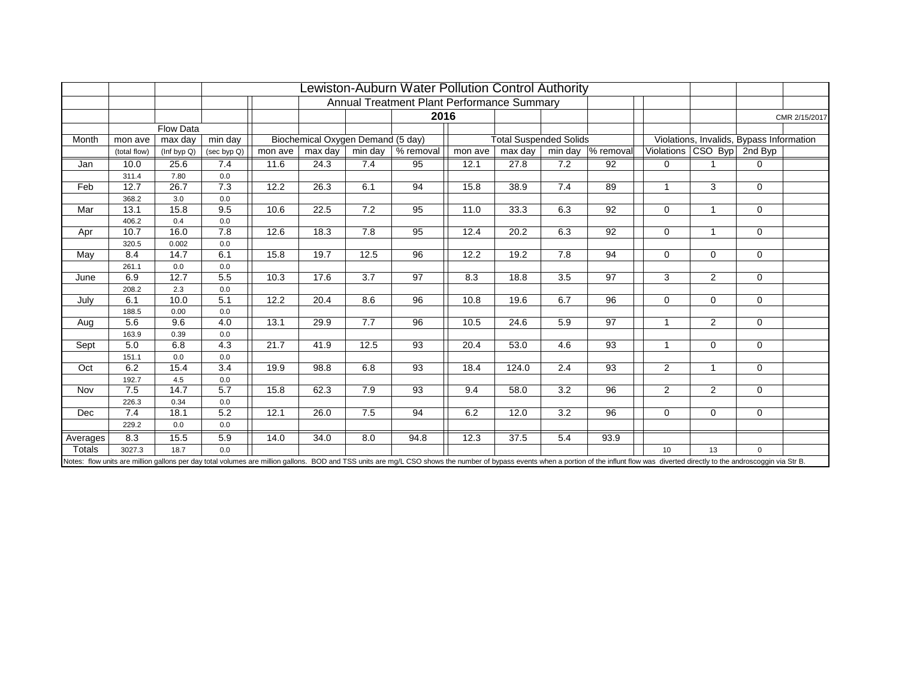|          |              |             |                |         |                                   |      | ewiston-Auburn Water Pollution Control Authority<br>Annual Treatment Plant Performance Summary |         |                               |     |                    |                |                            |                                          |               |
|----------|--------------|-------------|----------------|---------|-----------------------------------|------|------------------------------------------------------------------------------------------------|---------|-------------------------------|-----|--------------------|----------------|----------------------------|------------------------------------------|---------------|
|          |              |             |                |         |                                   |      |                                                                                                |         |                               |     |                    |                |                            |                                          |               |
|          |              |             |                |         |                                   |      | 2016                                                                                           |         |                               |     |                    |                |                            |                                          | CMR 2/15/2017 |
|          |              | Flow Data   |                |         |                                   |      |                                                                                                |         |                               |     |                    |                |                            |                                          |               |
| Month    | mon ave      | max day     | min day        |         | Biochemical Oxygen Demand (5 day) |      |                                                                                                |         | <b>Total Suspended Solids</b> |     |                    |                |                            | Violations, Invalids, Bypass Information |               |
|          | (total flow) | (Inf byp Q) | $(\sec byp Q)$ | mon ave | max day                           |      | min day $ %$ removal                                                                           | mon ave | max day                       |     | min day  % removal |                | Violations CSO Byp 2nd Byp |                                          |               |
| Jan      | 10.0         | 25.6        | 7.4            | 11.6    | 24.3                              | 7.4  | 95                                                                                             | 12.1    | 27.8                          | 7.2 | 92                 | $\mathbf 0$    |                            | $\Omega$                                 |               |
|          | 311.4        | 7.80        | 0.0            |         |                                   |      |                                                                                                |         |                               |     |                    |                |                            |                                          |               |
| Feb      | 12.7         | 26.7        | 7.3            | 12.2    | 26.3                              | 6.1  | 94                                                                                             | 15.8    | 38.9                          | 7.4 | 89                 | $\mathbf 1$    | 3                          | $\mathbf 0$                              |               |
|          | 368.2        | 3.0         | 0.0            |         |                                   |      |                                                                                                |         |                               |     |                    |                |                            |                                          |               |
| Mar      | 13.1         | 15.8        | 9.5            | 10.6    | 22.5                              | 7.2  | 95                                                                                             | 11.0    | 33.3                          | 6.3 | 92                 | $\mathbf 0$    | $\overline{1}$             | $\Omega$                                 |               |
|          | 406.2        | 0.4         | 0.0            |         |                                   |      |                                                                                                |         |                               |     |                    |                |                            |                                          |               |
| Apr      | 10.7         | 16.0        | 7.8            | 12.6    | 18.3                              | 7.8  | 95                                                                                             | 12.4    | 20.2                          | 6.3 | 92                 | $\mathbf 0$    | $\overline{1}$             | $\Omega$                                 |               |
|          | 320.5        | 0.002       | 0.0            |         |                                   |      |                                                                                                |         |                               |     |                    |                |                            |                                          |               |
| May      | 8.4          | 14.7        | 6.1            | 15.8    | 19.7                              | 12.5 | 96                                                                                             | 12.2    | 19.2                          | 7.8 | 94                 | $\Omega$       | $\Omega$                   | $\Omega$                                 |               |
|          | 261.1        | 0.0         | 0.0            |         |                                   |      |                                                                                                |         |                               |     |                    |                |                            |                                          |               |
| June     | 6.9          | 12.7        | 5.5            | 10.3    | 17.6                              | 3.7  | 97                                                                                             | 8.3     | 18.8                          | 3.5 | 97                 | 3              | $\overline{2}$             | $\Omega$                                 |               |
|          | 208.2        | 2.3         | 0.0            |         |                                   |      |                                                                                                |         |                               |     |                    |                |                            |                                          |               |
| July     | 6.1          | 10.0        | 5.1            | 12.2    | 20.4                              | 8.6  | 96                                                                                             | 10.8    | 19.6                          | 6.7 | $\overline{96}$    | $\Omega$       | $\Omega$                   | $\Omega$                                 |               |
|          | 188.5        | 0.00        | 0.0            |         |                                   |      |                                                                                                |         |                               |     |                    |                |                            |                                          |               |
| Aug      | 5.6          | 9.6         | 4.0            | 13.1    | 29.9                              | 7.7  | 96                                                                                             | 10.5    | 24.6                          | 5.9 | 97                 | $\overline{1}$ | $\overline{2}$             | $\mathbf 0$                              |               |
|          | 163.9        | 0.39        | 0.0            |         |                                   |      |                                                                                                |         |                               |     |                    |                |                            |                                          |               |
| Sept     | 5.0          | 6.8         | 4.3            | 21.7    | 41.9                              | 12.5 | 93                                                                                             | 20.4    | 53.0                          | 4.6 | 93                 | $\mathbf{1}$   | $\Omega$                   | $\mathbf 0$                              |               |
|          | 151.1        | 0.0         | 0.0            |         |                                   |      |                                                                                                |         |                               |     |                    |                | $\overline{1}$             |                                          |               |
| Oct      | 6.2          | 15.4        | 3.4            | 19.9    | 98.8                              | 6.8  | 93                                                                                             | 18.4    | 124.0                         | 2.4 | 93                 | 2              |                            | $\Omega$                                 |               |
|          | 192.7        | 4.5<br>14.7 | 0.0            |         |                                   |      |                                                                                                |         |                               | 3.2 | 96                 |                | 2                          |                                          |               |
| Nov      | 7.5          |             | 5.7            | 15.8    | 62.3                              | 7.9  | 93                                                                                             | 9.4     | 58.0                          |     |                    | 2              |                            | $\Omega$                                 |               |
|          | 226.3<br>7.4 | 0.34        | 0.0            |         |                                   |      |                                                                                                |         |                               |     |                    |                |                            |                                          |               |
| Dec      |              | 18.1        | 5.2            | 12.1    | 26.0                              | 7.5  | 94                                                                                             | 6.2     | 12.0                          | 3.2 | 96                 | $\mathbf 0$    | $\Omega$                   | $\Omega$                                 |               |
|          | 229.2        | 0.0         | 0.0            |         |                                   |      |                                                                                                |         |                               |     |                    |                |                            |                                          |               |
| Averages | 8.3          | 15.5        | 5.9            | 14.0    | 34.0                              | 8.0  | 94.8                                                                                           | 12.3    | 37.5                          | 5.4 | 93.9               |                |                            |                                          |               |
| Totals   | 3027.3       | 18.7        | 0.0            |         |                                   |      |                                                                                                |         |                               |     |                    | 10             | 13                         | $\Omega$                                 |               |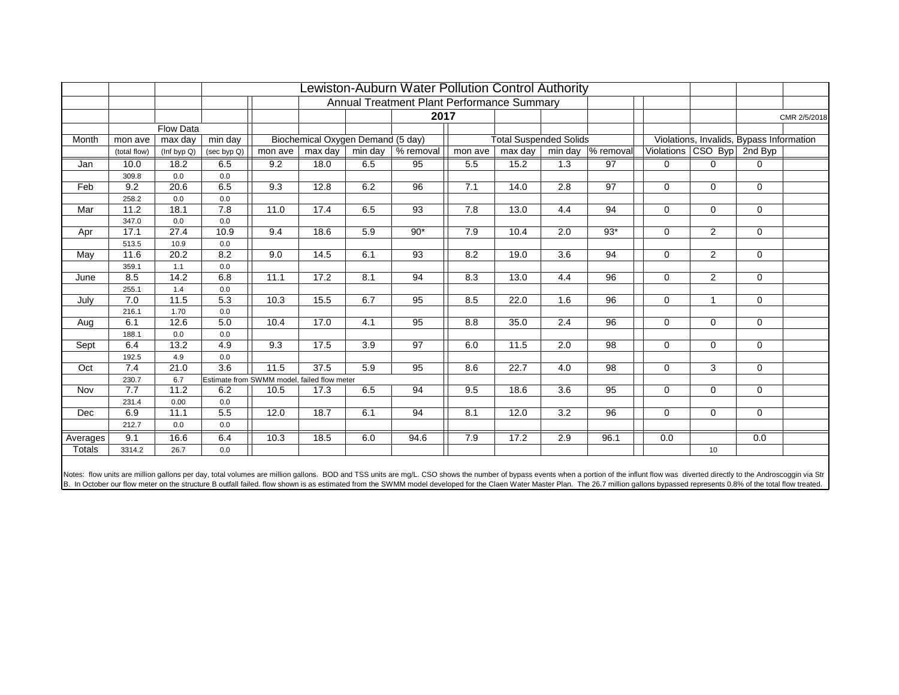|          |              |                  |             | Annual Treatment Plant Performance Summary  |                                   |                  |                 |         |                               |                  |                 |             |                                          |                |              |
|----------|--------------|------------------|-------------|---------------------------------------------|-----------------------------------|------------------|-----------------|---------|-------------------------------|------------------|-----------------|-------------|------------------------------------------|----------------|--------------|
|          |              |                  |             |                                             |                                   |                  | 2017            |         |                               |                  |                 |             |                                          |                | CMR 2/5/2018 |
|          |              | <b>Flow Data</b> |             |                                             |                                   |                  |                 |         |                               |                  |                 |             |                                          |                |              |
| Month    | mon ave      | max day          | min day     |                                             | Biochemical Oxygen Demand (5 day) |                  |                 |         | <b>Total Suspended Solids</b> |                  |                 |             | Violations, Invalids, Bypass Information |                |              |
|          | (total flow) | (Inf byp Q)      | (sec byp Q) | mon ave                                     | max day                           | min day          | % removal       | mon ave | max day                       | min day          | % removal       |             | Violations CSO Byp 2nd Byp               |                |              |
| Jan      | 10.0         | 18.2             | 6.5         | 9.2                                         | 18.0                              | 6.5              | 95              | 5.5     | 15.2                          | 1.3              | 97              | $\mathbf 0$ | 0                                        | 0              |              |
|          | 309.8        | 0.0              | 0.0         |                                             |                                   |                  |                 |         |                               |                  |                 |             |                                          |                |              |
| Feb      | 9.2          | 20.6             | 6.5         | 9.3                                         | 12.8                              | 6.2              | 96              | 7.1     | 14.0                          | 2.8              | 97              | $\Omega$    | $\Omega$                                 | 0              |              |
|          | 258.2        | 0.0              | 0.0         |                                             |                                   |                  |                 |         |                               |                  |                 |             |                                          |                |              |
| Mar      | 11.2         | 18.1             | 7.8         | 11.0                                        | 17.4                              | 6.5              | 93              | 7.8     | 13.0                          | 4.4              | 94              | $\mathbf 0$ | $\mathbf 0$                              | $\mathbf{0}$   |              |
|          | 347.0        | 0.0              | 0.0         |                                             |                                   |                  |                 |         |                               |                  |                 |             |                                          |                |              |
| Apr      | 17.1         | 27.4             | 10.9        | 9.4                                         | 18.6                              | 5.9              | $90*$           | 7.9     | 10.4                          | 2.0              | $93*$           | $\mathbf 0$ | 2                                        | 0              |              |
|          | 513.5        | 10.9             | 0.0         |                                             |                                   |                  |                 |         |                               |                  |                 |             |                                          |                |              |
| May      | 11.6         | 20.2             | 8.2         | 9.0                                         | 14.5                              | 6.1              | 93              | 8.2     | 19.0                          | 3.6              | 94              | $\mathbf 0$ | $\overline{2}$                           | $\mathbf 0$    |              |
|          | 359.1        | 1.1              | 0.0         |                                             |                                   |                  |                 |         |                               |                  |                 |             |                                          |                |              |
| June     | 8.5          | 14.2             | 6.8         | 11.1                                        | 17.2                              | $\overline{8.1}$ | $\overline{94}$ | 8.3     | 13.0                          | 4.4              | $\overline{96}$ | $\Omega$    | 2                                        | $\overline{0}$ |              |
|          | 255.1        | 1.4              | 0.0         |                                             |                                   |                  |                 |         |                               |                  |                 |             | $\overline{1}$                           |                |              |
| July     | 7.0          | 11.5             | 5.3         | 10.3                                        | 15.5                              | 6.7              | 95              | 8.5     | 22.0                          | $\overline{1.6}$ | $\overline{96}$ | $\Omega$    |                                          | $\overline{0}$ |              |
|          | 216.1        | 1.70<br>12.6     | 0.0<br>5.0  | 10.4                                        | 17.0                              | 4.1              |                 |         |                               | 2.4              | 96              |             |                                          |                |              |
| Aug      | 6.1<br>188.1 | 0.0              | 0.0         |                                             |                                   |                  | 95              | 8.8     | 35.0                          |                  |                 | 0           | $\mathbf 0$                              | 0              |              |
| Sept     | 6.4          | 13.2             | 4.9         | 9.3                                         | 17.5                              | 3.9              | 97              | 6.0     | 11.5                          | 2.0              | 98              | $\mathbf 0$ | $\mathbf 0$                              | $\mathbf 0$    |              |
|          | 192.5        | 4.9              | 0.0         |                                             |                                   |                  |                 |         |                               |                  |                 |             |                                          |                |              |
| Oct      | 7.4          | 21.0             | 3.6         | 11.5                                        | 37.5                              | 5.9              | 95              | 8.6     | 22.7                          | 4.0              | 98              | $\Omega$    | 3                                        | $\mathbf{0}$   |              |
|          | 230.7        | 6.7              |             | Estimate from SWMM model, failed flow meter |                                   |                  |                 |         |                               |                  |                 |             |                                          |                |              |
| Nov      | 7.7          | 11.2             | 6.2         | 10.5                                        | 17.3                              | 6.5              | 94              | 9.5     | 18.6                          | 3.6              | 95              | $\Omega$    | $\Omega$                                 | $\Omega$       |              |
|          | 231.4        | 0.00             | 0.0         |                                             |                                   |                  |                 |         |                               |                  |                 |             |                                          |                |              |
| Dec      | 6.9          | 11.1             | 5.5         | 12.0                                        | 18.7                              | 6.1              | 94              | 8.1     | 12.0                          | 3.2              | 96              | $\Omega$    | $\mathbf 0$                              | 0              |              |
|          | 212.7        | 0.0              | 0.0         |                                             |                                   |                  |                 |         |                               |                  |                 |             |                                          |                |              |
| Averages | 9.1          | 16.6             | 6.4         | 10.3                                        | 18.5                              | 6.0              | 94.6            | 7.9     | 17.2                          | 2.9              | 96.1            | 0.0         |                                          | 0.0            |              |
| Totals   | 3314.2       | 26.7             | 0.0         |                                             |                                   |                  |                 |         |                               |                  |                 |             | 10                                       |                |              |

Notes: flow units are million gallons per day, total volumes are million gallons. BOD and TSS units are mg/L. CSO shows the number of bypass events when a portion of the influnt flow was diverted directly to the Androscogg B. In October our flow meter on the structure B outfall failed. flow shown is as estimated from the SWMM model developed for the Claen Water Master Plan. The 26.7 million gallons bypassed represents 0.8% of the total flow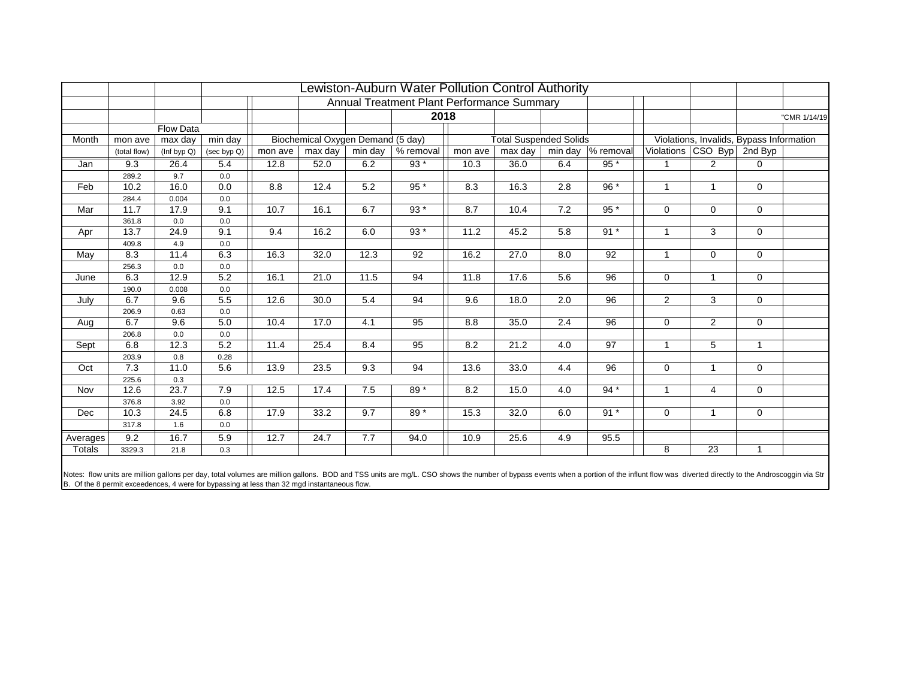|          |              |             | Annual Treatment Plant Performance Summary |         |                                   |         |                 |                               |         |                  |                    |                |                                          |                |              |
|----------|--------------|-------------|--------------------------------------------|---------|-----------------------------------|---------|-----------------|-------------------------------|---------|------------------|--------------------|----------------|------------------------------------------|----------------|--------------|
|          |              |             |                                            |         |                                   |         | 2018            |                               |         |                  |                    |                |                                          |                | "CMR 1/14/19 |
|          |              | Flow Data   |                                            |         |                                   |         |                 |                               |         |                  |                    |                |                                          |                |              |
| Month    | mon ave      | max day     | min day                                    |         | Biochemical Oxygen Demand (5 day) |         |                 | <b>Total Suspended Solids</b> |         |                  |                    |                | Violations, Invalids, Bypass Information |                |              |
|          | (total flow) | (Inf byp Q) | (sec byp Q)                                | mon ave | max day                           | min day | % removal       | mon ave                       | max day |                  | min day  % removal | Violations     | CSO Byp 2nd Byp                          |                |              |
| Jan      | 9.3          | 26.4        | 5.4                                        | 12.8    | 52.0                              | 6.2     | 93 *            | 10.3                          | 36.0    | 6.4              | $95*$              |                | 2                                        | 0              |              |
|          | 289.2        | 9.7         | 0.0                                        |         |                                   |         |                 |                               |         |                  |                    |                |                                          |                |              |
| Feb      | 10.2         | 16.0        | 0.0                                        | 8.8     | 12.4                              | 5.2     | $95*$           | 8.3                           | 16.3    | 2.8              | $96*$              | $\mathbf{1}$   | $\mathbf{1}$                             | $\overline{0}$ |              |
|          | 284.4        | 0.004       | 0.0                                        |         |                                   |         |                 |                               |         |                  |                    |                |                                          |                |              |
| Mar      | 11.7         | 17.9        | 9.1                                        | 10.7    | 16.1                              | 6.7     | 93 *            | 8.7                           | 10.4    | 7.2              | $95*$              | $\Omega$       | $\mathbf 0$                              | $\mathbf{0}$   |              |
|          | 361.8        | 0.0         | 0.0                                        |         |                                   |         |                 |                               |         |                  |                    |                |                                          |                |              |
| Apr      | 13.7         | 24.9        | 9.1                                        | 9.4     | 16.2                              | 6.0     | $93*$           | 11.2                          | 45.2    | 5.8              | $91*$              |                | 3                                        | $\overline{0}$ |              |
|          | 409.8        | 4.9         | 0.0                                        |         |                                   |         |                 |                               |         |                  |                    |                |                                          |                |              |
| May      | 8.3          | 11.4        | 6.3                                        | 16.3    | 32.0                              | 12.3    | 92              | 16.2                          | 27.0    | 8.0              | 92                 |                | $\mathbf 0$                              | $\mathbf 0$    |              |
|          | 256.3        | 0.0         | $0.0\,$                                    |         |                                   |         |                 |                               |         |                  |                    |                |                                          |                |              |
| June     | 6.3          | 12.9        | 5.2                                        | 16.1    | $\overline{21.0}$                 | 11.5    | $\overline{94}$ | 11.8                          | 17.6    | $\overline{5.6}$ | $\overline{96}$    | $\Omega$       | $\mathbf{1}$                             | $\overline{0}$ |              |
|          | 190.0        | 0.008       | 0.0                                        |         |                                   |         |                 |                               |         |                  |                    |                | $\overline{3}$                           |                |              |
| July     | 6.7          | 9.6         | 5.5                                        | 12.6    | 30.0                              | 5.4     | $\overline{94}$ | 9.6                           | 18.0    | $\overline{2.0}$ | $\overline{96}$    | $\overline{2}$ |                                          | $\overline{0}$ |              |
|          | 206.9        | 0.63<br>9.6 | 0.0<br>5.0                                 |         |                                   |         |                 |                               |         |                  |                    |                |                                          |                |              |
| Aug      | 6.7          | 0.0         |                                            | 10.4    | 17.0                              | 4.1     | 95              | 8.8                           | 35.0    | 2.4              | 96                 | 0              | $\overline{2}$                           | $\mathbf 0$    |              |
|          | 206.8<br>6.8 | 12.3        | 0.0<br>5.2                                 | 11.4    | 25.4                              | 8.4     | 95              | 8.2                           | 21.2    | 4.0              | 97                 | $\mathbf{1}$   | 5                                        | $\mathbf{1}$   |              |
| Sept     | 203.9        | 0.8         | 0.28                                       |         |                                   |         |                 |                               |         |                  |                    |                |                                          |                |              |
| Oct      | 7.3          | 11.0        | 5.6                                        | 13.9    | 23.5                              | 9.3     | 94              | 13.6                          | 33.0    | 4.4              | 96                 | $\Omega$       | $\mathbf{1}$                             | $\mathbf{0}$   |              |
|          | 225.6        | 0.3         |                                            |         |                                   |         |                 |                               |         |                  |                    |                |                                          |                |              |
| Nov      | 12.6         | 23.7        | 7.9                                        | 12.5    | 17.4                              | 7.5     | 89 *            | 8.2                           | 15.0    | 4.0              | $94*$              | $\overline{1}$ | $\overline{4}$                           | $\Omega$       |              |
|          | 376.8        | 3.92        | 0.0                                        |         |                                   |         |                 |                               |         |                  |                    |                |                                          |                |              |
| Dec      | 10.3         | 24.5        | 6.8                                        | 17.9    | 33.2                              | 9.7     | 89 *            | 15.3                          | 32.0    | 6.0              | $91*$              | $\Omega$       | $\mathbf{1}$                             | 0              |              |
|          | 317.8        | 1.6         | 0.0                                        |         |                                   |         |                 |                               |         |                  |                    |                |                                          |                |              |
| Averages | 9.2          | 16.7        | 5.9                                        | 12.7    | 24.7                              | 7.7     | 94.0            | 10.9                          | 25.6    | 4.9              | 95.5               |                |                                          |                |              |
| Totals   | 3329.3       | 21.8        | 0.3                                        |         |                                   |         |                 |                               |         |                  |                    | 8              | 23                                       | $\mathbf{1}$   |              |
|          |              |             |                                            |         |                                   |         |                 |                               |         |                  |                    |                |                                          |                |              |

Notes: flow units are million gallons per day, total volumes are million gallons. BOD and TSS units are mg/L. CSO shows the number of bypass events when a portion of the influnt flow was diverted directly to the Androscogg B. Of the 8 permit exceedences, 4 were for bypassing at less than 32 mgd instantaneous flow.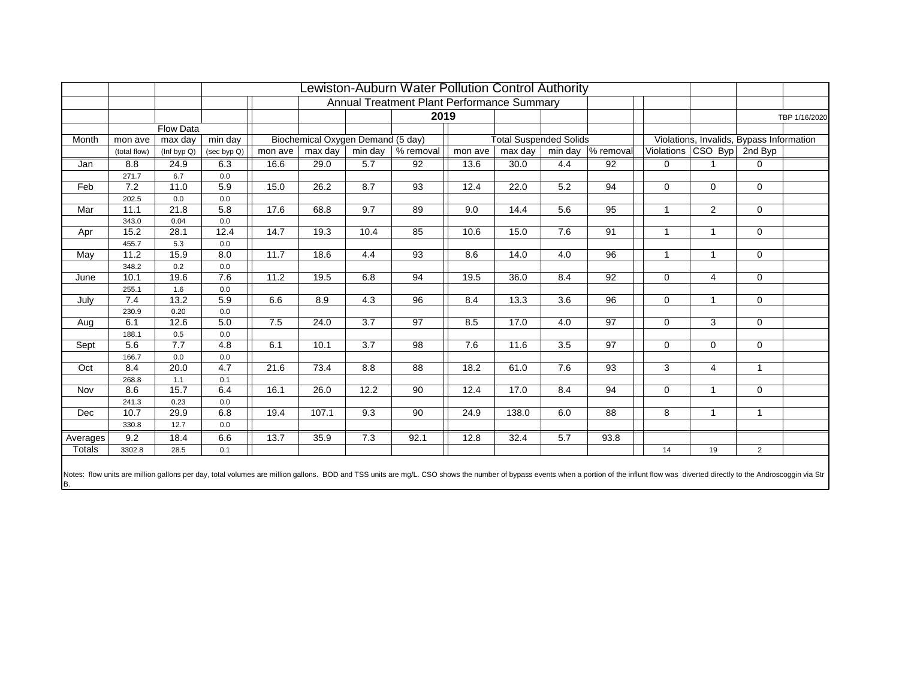|               |               |                  | Lewiston-Auburn Water Pollution Control Authority<br>Annual Treatment Plant Performance Summary |         |                                   |         |           |         |                               |                  |                                      |              |                |                                          |               |
|---------------|---------------|------------------|-------------------------------------------------------------------------------------------------|---------|-----------------------------------|---------|-----------|---------|-------------------------------|------------------|--------------------------------------|--------------|----------------|------------------------------------------|---------------|
|               |               |                  |                                                                                                 |         |                                   |         | 2019      |         |                               |                  |                                      |              |                |                                          | TBP 1/16/2020 |
|               |               | <b>Flow Data</b> |                                                                                                 |         |                                   |         |           |         |                               |                  |                                      |              |                |                                          |               |
| Month         | mon ave       | max day          | min day                                                                                         |         | Biochemical Oxygen Demand (5 day) |         |           |         | <b>Total Suspended Solids</b> |                  |                                      |              |                | Violations, Invalids, Bypass Information |               |
|               | (total flow)  | (Inf byp Q)      | (sec byp Q)                                                                                     | mon ave | max day                           | min day | % removal | mon ave | max day                       |                  | min day $\sqrt{\frac{9}{6}}$ removal | Violations   | $CSO$ Byp      | 2nd Byp                                  |               |
| Jan           | 8.8           | 24.9             | 6.3                                                                                             | 16.6    | 29.0                              | 5.7     | 92        | 13.6    | 30.0                          | 4.4              | 92                                   | $\mathbf 0$  |                | 0                                        |               |
|               | 271.7         | 6.7              | 0.0                                                                                             |         |                                   |         |           |         |                               |                  |                                      |              |                |                                          |               |
| Feb           | 7.2           | 11.0             | 5.9                                                                                             | 15.0    | 26.2                              | 8.7     | 93        | 12.4    | 22.0                          | 5.2              | 94                                   | $\Omega$     | $\Omega$       | $\mathbf{0}$                             |               |
|               | 202.5         | 0.0              | 0.0                                                                                             |         |                                   |         |           |         |                               |                  |                                      |              |                |                                          |               |
| Mar           | 11.1          | 21.8             | 5.8                                                                                             | 17.6    | 68.8                              | 9.7     | 89        | 9.0     | 14.4                          | 5.6              | 95                                   | $\mathbf{1}$ | 2              | $\mathbf 0$                              |               |
|               | 343.0         | 0.04             | 0.0                                                                                             |         |                                   |         |           |         |                               |                  |                                      |              |                |                                          |               |
| Apr           | 15.2          | 28.1             | 12.4                                                                                            | 14.7    | 19.3                              | 10.4    | 85        | 10.6    | 15.0                          | 7.6              | 91                                   |              | $\mathbf{1}$   | $\mathbf 0$                              |               |
|               | 455.7<br>11.2 | 5.3<br>15.9      | 0.0<br>8.0                                                                                      | 11.7    | 18.6                              |         | 93        |         |                               |                  | 96                                   | $\mathbf 1$  |                |                                          |               |
| May           |               |                  |                                                                                                 |         |                                   | 4.4     |           | 8.6     | 14.0                          | 4.0              |                                      |              | $\mathbf{1}$   | $\mathbf{0}$                             |               |
|               | 348.2<br>10.1 | 0.2<br>19.6      | 0.0<br>7.6                                                                                      | 11.2    | 19.5                              |         | 94        | 19.5    | 36.0                          | 8.4              | 92                                   | $\mathbf 0$  | $\overline{4}$ | $\mathbf 0$                              |               |
| June          | 255.1         | 1.6              | 0.0                                                                                             |         |                                   | 6.8     |           |         |                               |                  |                                      |              |                |                                          |               |
| July          | 7.4           | 13.2             | 5.9                                                                                             | 6.6     | 8.9                               | 4.3     | 96        | 8.4     | 13.3                          | $\overline{3.6}$ | 96                                   | $\Omega$     | $\mathbf{1}$   | $\mathbf 0$                              |               |
|               | 230.9         | 0.20             | 0.0                                                                                             |         |                                   |         |           |         |                               |                  |                                      |              |                |                                          |               |
| Aug           | 6.1           | 12.6             | 5.0                                                                                             | 7.5     | 24.0                              | 3.7     | 97        | 8.5     | 17.0                          | 4.0              | 97                                   | $\Omega$     | 3              | $\mathbf 0$                              |               |
|               | 188.1         | 0.5              | 0.0                                                                                             |         |                                   |         |           |         |                               |                  |                                      |              |                |                                          |               |
| Sept          | 5.6           | 7.7              | 4.8                                                                                             | 6.1     | 10.1                              | 3.7     | 98        | 7.6     | 11.6                          | 3.5              | 97                                   | $\Omega$     | $\Omega$       | $\mathbf 0$                              |               |
|               | 166.7         | 0.0              | 0.0                                                                                             |         |                                   |         |           |         |                               |                  |                                      |              |                |                                          |               |
| Oct           | 8.4           | 20.0             | 4.7                                                                                             | 21.6    | 73.4                              | 8.8     | 88        | 18.2    | 61.0                          | 7.6              | 93                                   | 3            | $\overline{4}$ | $\mathbf{1}$                             |               |
|               | 268.8         | 1.1              | 0.1                                                                                             |         |                                   |         |           |         |                               |                  |                                      |              |                |                                          |               |
| Nov           | 8.6           | 15.7             | 6.4                                                                                             | 16.1    | 26.0                              | 12.2    | 90        | 12.4    | 17.0                          | 8.4              | 94                                   | $\mathbf 0$  | $\mathbf{1}$   | 0                                        |               |
|               | 241.3         | 0.23             | 0.0                                                                                             |         |                                   |         |           |         |                               |                  |                                      |              |                |                                          |               |
| Dec           | 10.7          | 29.9             | 6.8                                                                                             | 19.4    | 107.1                             | 9.3     | 90        | 24.9    | 138.0                         | 6.0              | 88                                   | 8            | $\mathbf{1}$   | $\mathbf{1}$                             |               |
|               | 330.8         | 12.7             | 0.0                                                                                             |         |                                   |         |           |         |                               |                  |                                      |              |                |                                          |               |
| Averages      | 9.2           | 18.4             | 6.6                                                                                             | 13.7    | 35.9                              | 7.3     | 92.1      | 12.8    | 32.4                          | 5.7              | 93.8                                 |              |                |                                          |               |
| <b>Totals</b> | 3302.8        | 28.5             | 0.1                                                                                             |         |                                   |         |           |         |                               |                  |                                      | 14           | 19             | $\overline{2}$                           |               |
|               |               |                  |                                                                                                 |         |                                   |         |           |         |                               |                  |                                      |              |                |                                          |               |

Notes: flow units are million gallons per day, total volumes are million gallons. BOD and TSS units are mg/L. CSO shows the number of bypass events when a portion of the influnt flow was diverted directly to the Androscogg B.